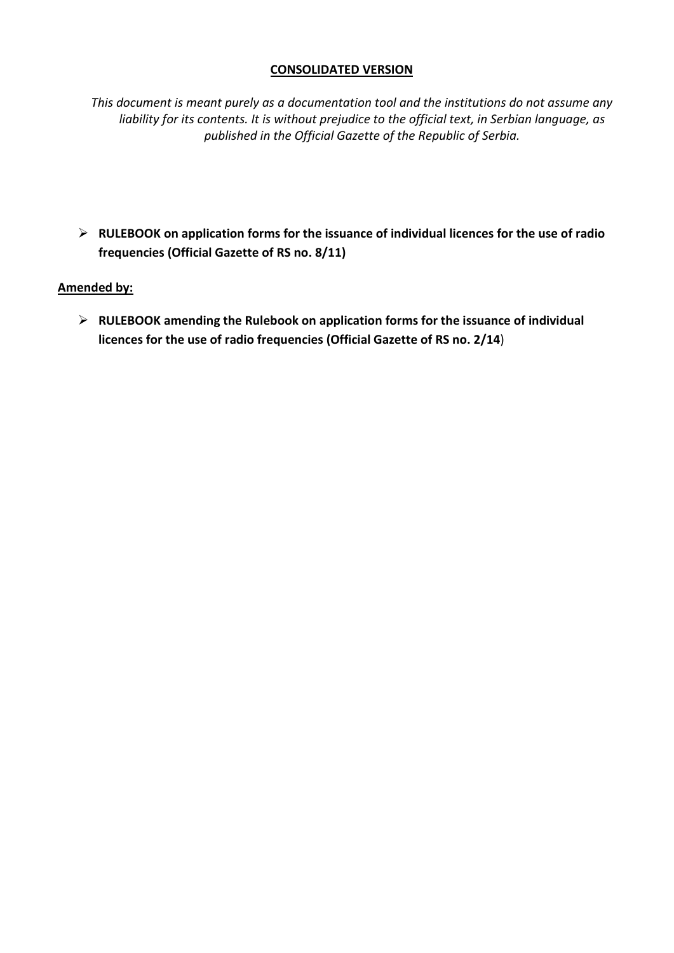#### **CONSOLIDATED VERSION**

*This document is meant purely as a documentation tool and the institutions do not assume any liability for its contents. It is without prejudice to the official text, in Serbian language, as published in the Official Gazette of the Republic of Serbia.*

 **RULEBOOK on application forms for the issuance of individual licences for the use of radio frequencies (Official Gazette of RS no. 8/11)**

## **Amended by:**

 **RULEBOOK amending the Rulebook on application forms for the issuance of individual licences for the use of radio frequencies (Official Gazette of RS no. 2/14**)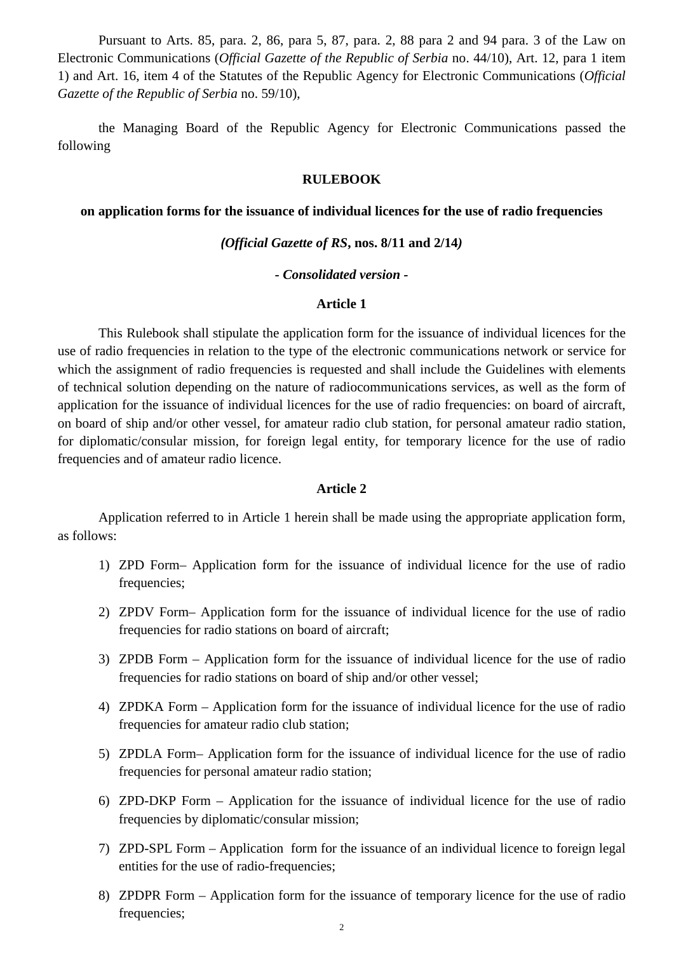Pursuant to Arts. 85, para. 2, 86, para 5, 87, para. 2, 88 para 2 and 94 para. 3 of the Law on Electronic Communications (*Official Gazette of the Republic of Serbia* no. 44/10), Art. 12, para 1 item 1) and Art. 16, item 4 of the Statutes of the Republic Agency for Electronic Communications (*Official Gazette of the Republic of Serbia* no. 59/10),

the Managing Board of the Republic Agency for Electronic Communications passed the following

#### **RULEBOOK**

#### **on application forms for the issuance of individual licences for the use of radio frequencies**

#### *(Official Gazette of RS***, nos. 8/11 and 2/14***)*

#### *- Consolidated version -*

#### **Article 1**

This Rulebook shall stipulate the application form for the issuance of individual licences for the use of radio frequencies in relation to the type of the electronic communications network or service for which the assignment of radio frequencies is requested and shall include the Guidelines with elements of technical solution depending on the nature of radiocommunications services, as well as the form of application for the issuance of individual licences for the use of radio frequencies: on board of aircraft, on board of ship and/or other vessel, for amateur radio club station, for personal amateur radio station, for diplomatic/consular mission, for foreign legal entity, for temporary licence for the use of radio frequencies and of amateur radio licence.

#### **Article 2**

Application referred to in Article 1 herein shall be made using the appropriate application form, as follows:

- 1) ZPD Form– Application form for the issuance of individual licence for the use of radio frequencies;
- 2) ZPDV Form– Application form for the issuance of individual licence for the use of radio frequencies for radio stations on board of aircraft;
- 3) ZPDB Form Application form for the issuance of individual licence for the use of radio frequencies for radio stations on board of ship and/or other vessel;
- 4) ZPDKA Form Application form for the issuance of individual licence for the use of radio frequencies for amateur radio club station;
- 5) ZPDLA Form– Application form for the issuance of individual licence for the use of radio frequencies for personal amateur radio station;
- 6) ZPD-DKP Form Application for the issuance of individual licence for the use of radio frequencies by diplomatic/consular mission;
- 7) ZPD-SPL Form Application form for the issuance of an individual licence to foreign legal entities for the use of radio-frequencies;
- 8) ZPDPR Form Application form for the issuance of temporary licence for the use of radio frequencies;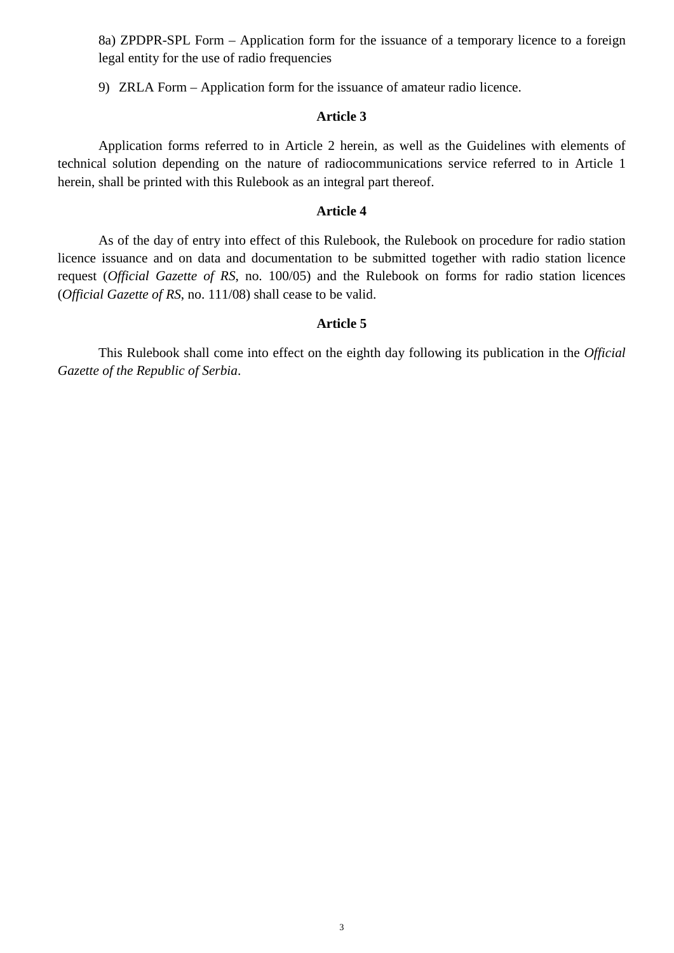8a) ZPDPR-SPL Form – Application form for the issuance of a temporary licence to a foreign legal entity for the use of radio frequencies

9) ZRLA Form – Application form for the issuance of amateur radio licence.

#### **Article 3**

Application forms referred to in Article 2 herein, as well as the Guidelines with elements of technical solution depending on the nature of radiocommunications service referred to in Article 1 herein, shall be printed with this Rulebook as an integral part thereof.

#### **Article 4**

As of the day of entry into effect of this Rulebook, the Rulebook on procedure for radio station licence issuance and on data and documentation to be submitted together with radio station licence request (*Official Gazette of RS*, no. 100/05) and the Rulebook on forms for radio station licences (*Official Gazette of RS*, no. 111/08) shall cease to be valid.

#### **Article 5**

This Rulebook shall come into effect on the eighth day following its publication in the *Official Gazette of the Republic of Serbia*.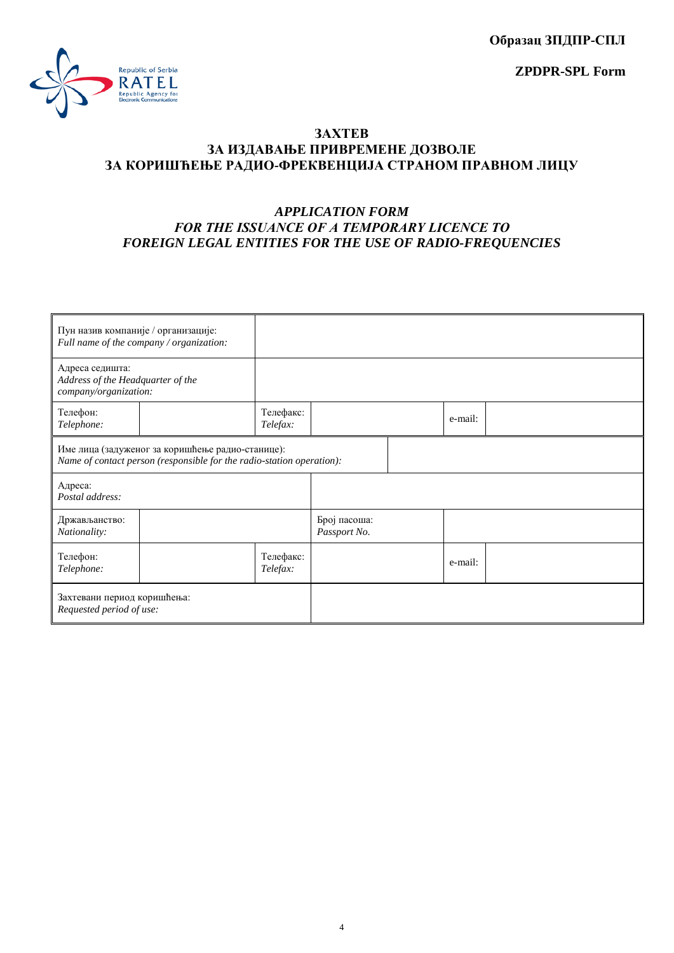**Образац ЗПДПР-СПЛ**

**ZPDPR-SPL Form**



#### **ЗАХТЕВ ЗА ИЗДАВАЊЕ ПРИВРЕМЕНЕ ДОЗВОЛЕ ЗА КОРИШЋЕЊЕ РАДИО-ФРЕКВЕНЦИЈА СТРАНОМ ПРАВНОМ ЛИЦУ**

## *APPLICATION FORM FOR THE ISSUANCE OF A ТЕMPORARY LICENCE TO FOREIGN LEGAL ENTITIES FOR THE USE OF RADIO-FREQUENCIES*

| Пун назив компаније / организације:                                                                                       | Full name of the company / organization: |                       |                              |         |  |
|---------------------------------------------------------------------------------------------------------------------------|------------------------------------------|-----------------------|------------------------------|---------|--|
| Адреса седишта:<br>Address of the Headquarter of the<br>company/organization:                                             |                                          |                       |                              |         |  |
| Телефон:<br>Telephone:                                                                                                    |                                          | Телефакс:<br>Telefax: |                              | e-mail: |  |
| Име лица (задуженог за коришћење радио-станице):<br>Name of contact person (responsible for the radio-station operation): |                                          |                       |                              |         |  |
| Адреса:<br>Postal address:                                                                                                |                                          |                       |                              |         |  |
| Држављанство:<br>Nationality:                                                                                             |                                          |                       | Број пасоша:<br>Passport No. |         |  |
| Телефон:<br>Telephone:                                                                                                    |                                          | Телефакс:<br>Telefax: |                              | e-mail: |  |
| Захтевани период коришћења:<br>Requested period of use:                                                                   |                                          |                       |                              |         |  |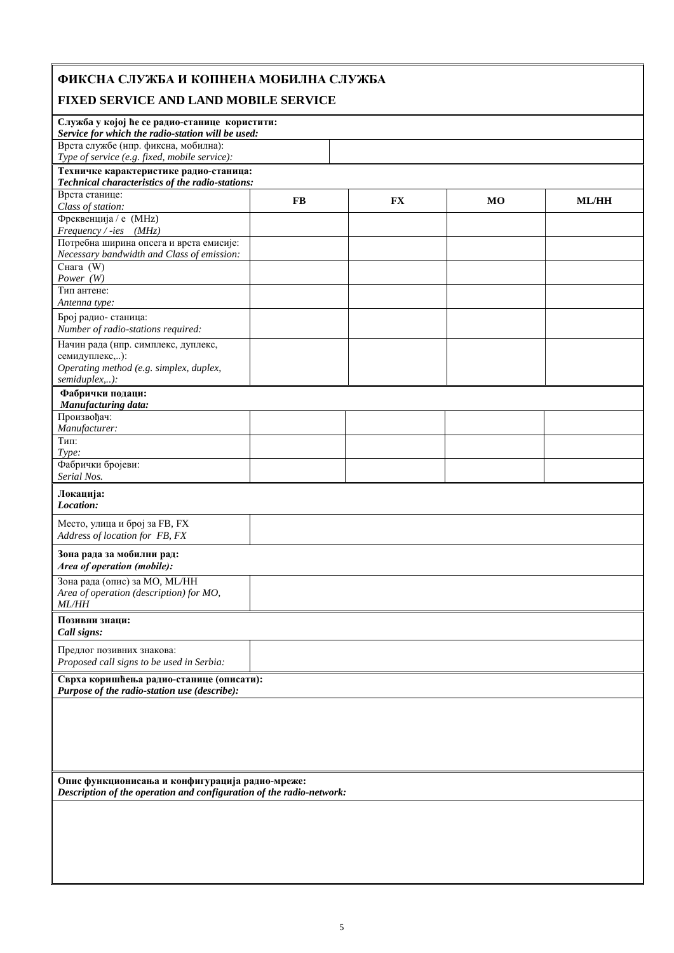# **ФИКСНА СЛУЖБА И КОПНЕНА МОБИЛНА СЛУЖБА**

## **FIXED SERVICE AND LAND MOBILE SERVICE**

| נעטנען שו                                                                                          |           |           |                |              |  |  |  |  |
|----------------------------------------------------------------------------------------------------|-----------|-----------|----------------|--------------|--|--|--|--|
| Служба у којој ће се радио-станице користити:<br>Service for which the radio-station will be used: |           |           |                |              |  |  |  |  |
| Врста службе (нпр. фиксна, мобилна):<br>Type of service (e.g. fixed, mobile service):              |           |           |                |              |  |  |  |  |
| Техничке карактеристике радио-станица:                                                             |           |           |                |              |  |  |  |  |
| Technical characteristics of the radio-stations:                                                   |           |           |                |              |  |  |  |  |
| Врста станице:                                                                                     |           |           |                |              |  |  |  |  |
| Class of station:                                                                                  | <b>FB</b> | <b>FX</b> | M <sub>O</sub> | <b>ML/HH</b> |  |  |  |  |
| Фреквенција / е (MHz)                                                                              |           |           |                |              |  |  |  |  |
| Frequency / -ies (MHz)                                                                             |           |           |                |              |  |  |  |  |
| Потребна ширина опсега и врста емисије:                                                            |           |           |                |              |  |  |  |  |
| Necessary bandwidth and Class of emission:                                                         |           |           |                |              |  |  |  |  |
| Снага $(W)$                                                                                        |           |           |                |              |  |  |  |  |
| Power (W)                                                                                          |           |           |                |              |  |  |  |  |
| Тип антене:                                                                                        |           |           |                |              |  |  |  |  |
| Antenna type:                                                                                      |           |           |                |              |  |  |  |  |
| Број радио- станица:                                                                               |           |           |                |              |  |  |  |  |
| Number of radio-stations required:                                                                 |           |           |                |              |  |  |  |  |
| Начин рада (нпр. симплекс, дуплекс,                                                                |           |           |                |              |  |  |  |  |
| семидуплекс,):                                                                                     |           |           |                |              |  |  |  |  |
| Operating method (e.g. simplex, duplex,                                                            |           |           |                |              |  |  |  |  |
| semiduplex,):                                                                                      |           |           |                |              |  |  |  |  |
| Фабрички подаци:                                                                                   |           |           |                |              |  |  |  |  |
| Manufacturing data:                                                                                |           |           |                |              |  |  |  |  |
| Произвођач:                                                                                        |           |           |                |              |  |  |  |  |
| Manufacturer:                                                                                      |           |           |                |              |  |  |  |  |
| Тип:                                                                                               |           |           |                |              |  |  |  |  |
| Type:                                                                                              |           |           |                |              |  |  |  |  |
| Фабрички бројеви:                                                                                  |           |           |                |              |  |  |  |  |
| Serial Nos.                                                                                        |           |           |                |              |  |  |  |  |
| Локација:<br>Location:                                                                             |           |           |                |              |  |  |  |  |
| Место, улица и број за FB, FX<br>Address of location for FB, FX                                    |           |           |                |              |  |  |  |  |
| Зона рада за мобилни рад:<br>Area of operation (mobile):                                           |           |           |                |              |  |  |  |  |
| Зона рада (опис) за МО, МL/НН                                                                      |           |           |                |              |  |  |  |  |
| Area of operation (description) for MO,                                                            |           |           |                |              |  |  |  |  |
| <b>ML/HH</b>                                                                                       |           |           |                |              |  |  |  |  |
| Позивни знаци:<br>Call signs:                                                                      |           |           |                |              |  |  |  |  |
| Предлог позивних знакова:                                                                          |           |           |                |              |  |  |  |  |
| Proposed call signs to be used in Serbia:                                                          |           |           |                |              |  |  |  |  |
| Сврха коришћења радио-станице (описати):<br>Purpose of the radio-station use (describe):           |           |           |                |              |  |  |  |  |
|                                                                                                    |           |           |                |              |  |  |  |  |
|                                                                                                    |           |           |                |              |  |  |  |  |
|                                                                                                    |           |           |                |              |  |  |  |  |
|                                                                                                    |           |           |                |              |  |  |  |  |
|                                                                                                    |           |           |                |              |  |  |  |  |
|                                                                                                    |           |           |                |              |  |  |  |  |
| Опис функционисања и конфигурација радио-мреже:                                                    |           |           |                |              |  |  |  |  |
| Description of the operation and configuration of the radio-network:                               |           |           |                |              |  |  |  |  |
|                                                                                                    |           |           |                |              |  |  |  |  |
|                                                                                                    |           |           |                |              |  |  |  |  |
|                                                                                                    |           |           |                |              |  |  |  |  |
|                                                                                                    |           |           |                |              |  |  |  |  |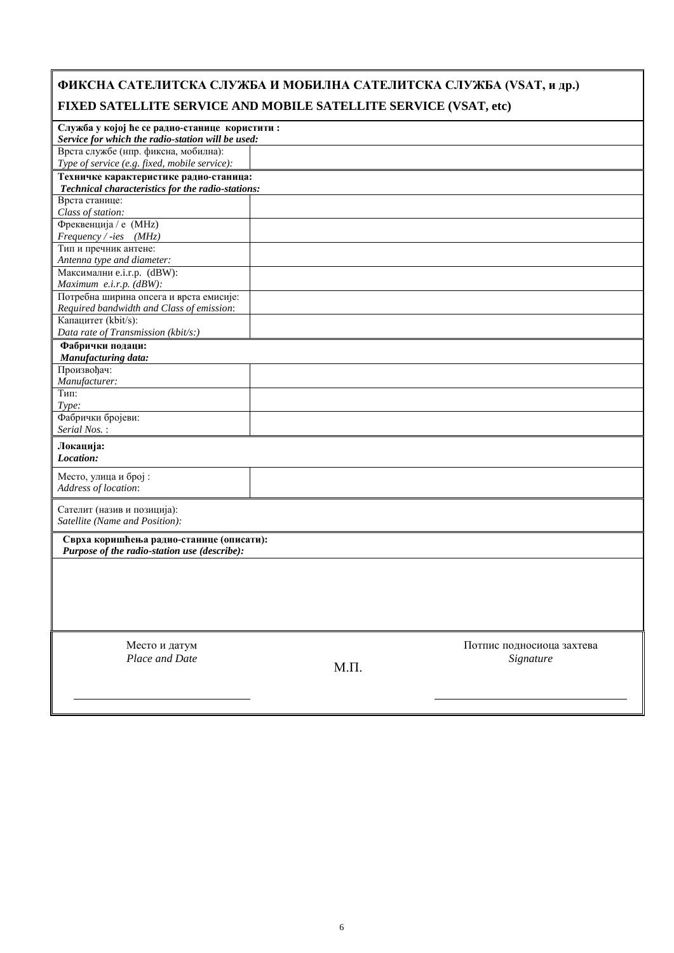| ФИКСНА САТЕЛИТСКА СЛУЖБА И МОБИЛНА САТЕЛИТСКА СЛУЖБА (VSAT, и др.)<br>FIXED SATELLITE SERVICE AND MOBILE SATELLITE SERVICE (VSAT, etc) |          |                                        |
|----------------------------------------------------------------------------------------------------------------------------------------|----------|----------------------------------------|
| Служба у којој ће се радио-станице користити:<br>Service for which the radio-station will be used:                                     |          |                                        |
| Врста службе (нпр. фиксна, мобилна):<br>Type of service (e.g. fixed, mobile service):                                                  |          |                                        |
| Техничке карактеристике радио-станица:<br>Technical characteristics for the radio-stations:                                            |          |                                        |
| Врста станице:<br>Class of station:                                                                                                    |          |                                        |
| Фреквенција / е (MHz)<br>$Frequency / -ies$ (MHz)                                                                                      |          |                                        |
| Тип и пречник антене:<br>Antenna type and diameter:                                                                                    |          |                                        |
| Максимални e.i.r.p. (dBW):<br>Maximum $e.i.r.p.$ ( $dBW$ ):                                                                            |          |                                        |
| Потребна ширина опсега и врста емисије:<br>Required bandwidth and Class of emission:                                                   |          |                                        |
| Капацитет (kbit/s):<br>Data rate of Transmission (kbit/s:)                                                                             |          |                                        |
| Фабрички подаци:<br>Manufacturing data:                                                                                                |          |                                        |
| Произвођач:<br>Manufacturer:                                                                                                           |          |                                        |
| Тип:<br>Type:                                                                                                                          |          |                                        |
| Фабрички бројеви:<br>Serial Nos.:                                                                                                      |          |                                        |
| Локација:<br>Location:                                                                                                                 |          |                                        |
| Место, улица и број:<br>Address of location:                                                                                           |          |                                        |
| Сателит (назив и позиција):<br>Satellite (Name and Position):                                                                          |          |                                        |
| Сврха коришћења радио-станице (описати):<br>Purpose of the radio-station use (describe):                                               |          |                                        |
|                                                                                                                                        |          |                                        |
| Место и датум<br>Place and Date                                                                                                        | $M.\Pi.$ | Потпис подносиоца захтева<br>Signature |
|                                                                                                                                        |          |                                        |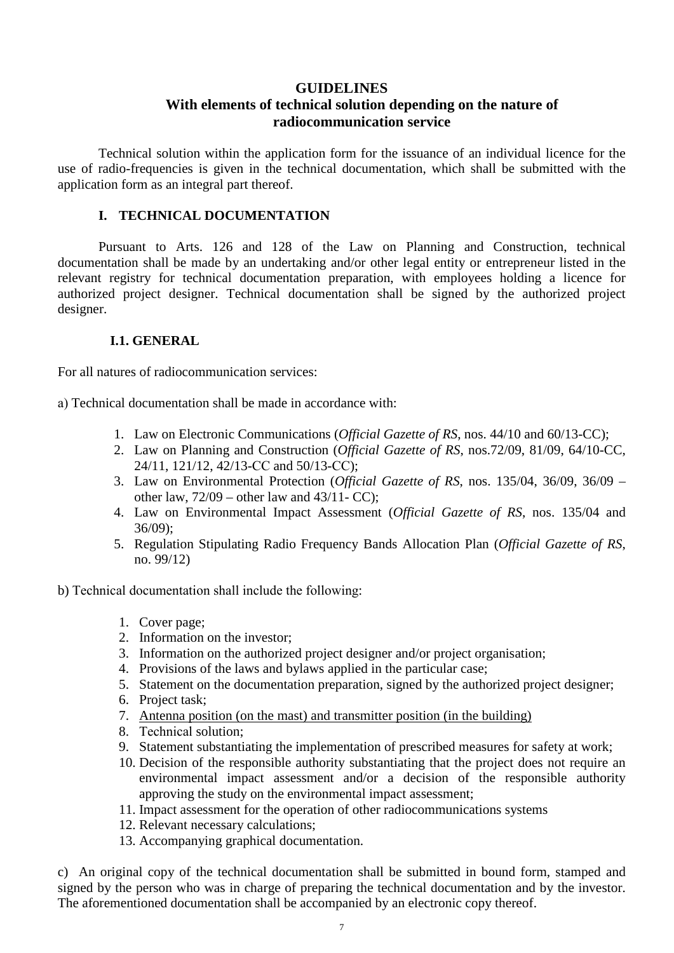#### **GUIDELINES**

## **With elements of technical solution depending on the nature of radiocommunication service**

Technical solution within the application form for the issuance of an individual licence for the use of radio-frequencies is given in the technical documentation, which shall be submitted with the application form as an integral part thereof.

## **I. TECHNICAL DOCUMENTATION**

 Pursuant to Arts. 126 and 128 of the Law on Planning and Construction, technical documentation shall be made by an undertaking and/or other legal entity or entrepreneur listed in the relevant registry for technical documentation preparation, with employees holding a licence for authorized project designer. Technical documentation shall be signed by the authorized project designer.

## **I.1. GENERAL**

For all natures of radiocommunication services:

а) Technical documentation shall be made in accordance with:

- 1. Law on Electronic Communications (*Official Gazette of RS*, nos. 44/10 and 60/13-CC);
- 2. Law on Planning and Construction (*Official Gazette of RS*, nos.72/09, 81/09, 64/10-CC, 24/11, 121/12, 42/13-CС and 50/13-CС);
- 3. Law on Environmental Protection (*Official Gazette of RS*, nos. 135/04, 36/09, 36/09 other law,  $72/09$  – other law and  $43/11$ -CC);
- 4. Law on Environmental Impact Assessment (*Official Gazette of RS*, nos. 135/04 and 36/09);
- 5. Regulation Stipulating Radio Frequency Bands Allocation Plan (*Official Gazette of RS*, no. 99/12)

#### b) Теchnical documentation shall include the following:

- 1. Cover page;
- 2. Information on the investor;
- 3. Information on the authorized project designer and/or project organisation;
- 4. Provisions of the laws and bylaws applied in the particular case;
- 5. Statement on the documentation preparation, signed by the authorized project designer;
- 6. Project task;
- 7. Antenna position (on the mast) and transmitter position (in the building)
- 8. Теchnical solution;
- 9. Statement substantiating the implementation of prescribed measures for safety at work;
- 10. Decision of the responsible authority substantiating that the project does not require an environmental impact assessment and/or a decision of the responsible authority approving the study on the environmental impact assessment;
- 11. Impact assessment for the operation of other radiocommunications systems
- 12. Relevant necessary calculations;
- 13. Accompanying graphical documentation.

c) An original copy of the technical documentation shall be submitted in bound form, stamped and signed by the person who was in charge of preparing the technical documentation and by the investor. The aforementioned documentation shall be accompanied by an electronic copy thereof.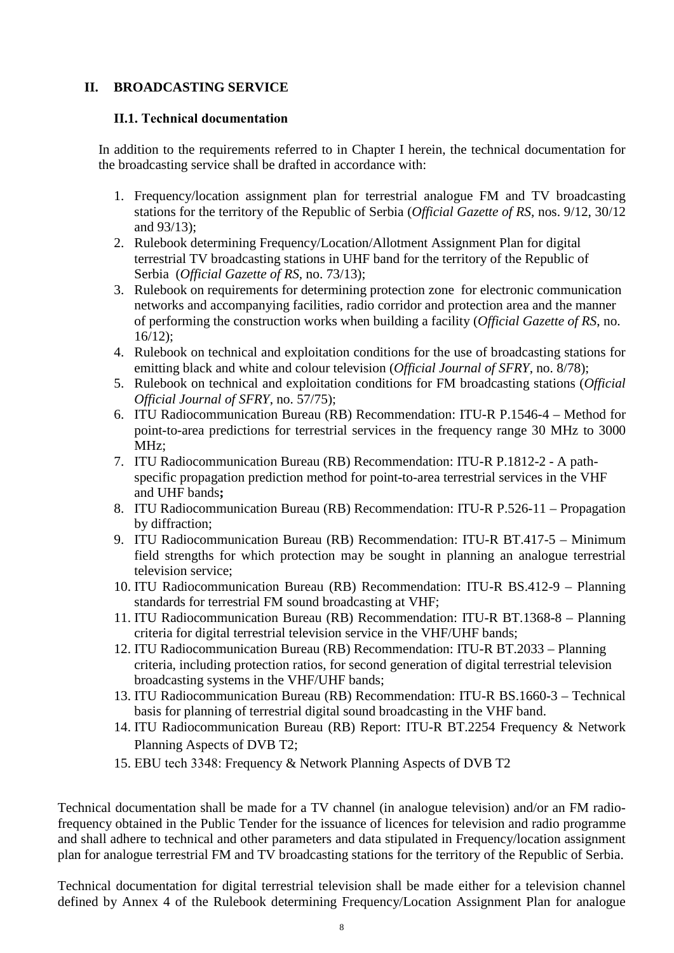## **II. BROADCASTING SERVICE**

#### **II.1. Теchnical documentation**

In addition to the requirements referred to in Chapter I herein, the technical documentation for the broadcasting service shall be drafted in accordance with:

- 1. Frequency/location assignment plan for terrestrial analogue FM and TV broadcasting stations for the territory of the Republic of Serbia (*Official Gazette of RS*, nos. 9/12, 30/12 and 93/13);
- 2. Rulebook determining Frequency/Location/Allotment Assignment Plan for digital terrestrial TV broadcasting stations in UHF band for the territory of the Republic of Serbia (*Official Gazette of RS,* no. 73/13);
- 3. Rulebook on requirements for determining protection zone for electronic communication networks and accompanying facilities, radio corridor and protection area and the manner of performing the construction works when building a facility (*Official Gazette of RS*, no. 16/12);
- 4. Rulebook on technical and exploitation conditions for the use of broadcasting stations for emitting black and white and colour television (*Official Journal of SFRY*, no. 8/78);
- 5. Rulebook on technical and exploitation conditions for FM broadcasting stations (*Official Official Journal of SFRY*, no. 57/75);
- 6. ITU Radiocommunication Bureau (RB) Recommendation: ITU-R P.1546-4 Method for point-to-area predictions for terrestrial services in the frequency range 30 MHz to 3000 MHz;
- 7. ITU Radiocommunication Bureau (RB) Recommendation: ITU-R P.1812-2 A pathspecific propagation prediction method for point-to-area terrestrial services in the VHF and UHF bands**;**
- 8. ITU Radiocommunication Bureau (RB) Recommendation: ITU-R P.526-11 Propagation by diffraction;
- 9. ITU Radiocommunication Bureau (RB) Recommendation: ITU-R BT.417-5 Minimum field strengths for which protection may be sought in planning an analogue terrestrial television service;
- 10. ITU Radiocommunication Bureau (RB) Recommendation: ITU-R BS.412-9 Planning standards for terrestrial FM sound broadcasting at VHF;
- 11. ITU Radiocommunication Bureau (RB) Recommendation: ITU-R BT.1368-8 Planning criteria for digital terrestrial television service in the VHF/UHF bands;
- 12. ITU Radiocommunication Bureau (RB) Recommendation: ITU-R BT.2033 Planning criteria, including protection ratios, for second generation of digital terrestrial television broadcasting systems in the VHF/UHF bands;
- 13. ITU Radiocommunication Bureau (RB) Recommendation: ITU-R BS.1660-3 Technical basis for planning of terrestrial digital sound broadcasting in the VHF band.
- 14. ITU Radiocommunication Bureau (RB) Report: ITU-R BT.2254 Frequency & Network Planning Aspects of DVB T2;
- 15. ЕBU tech 3348: Frequency & Network Planning Aspects of DVB T2

Technical documentation shall be made for a TV channel (in analogue television) and/or an FM radiofrequency obtained in the Public Tender for the issuance of licences for television and radio programme and shall adhere to technical and other parameters and data stipulated in Frequency/location assignment plan for analogue terrestrial FM and TV broadcasting stations for the territory of the Republic of Serbia.

Technical documentation for digital terrestrial television shall be made either for a television channel defined by Annex 4 of the Rulebook determining Frequency/Location Assignment Plan for analogue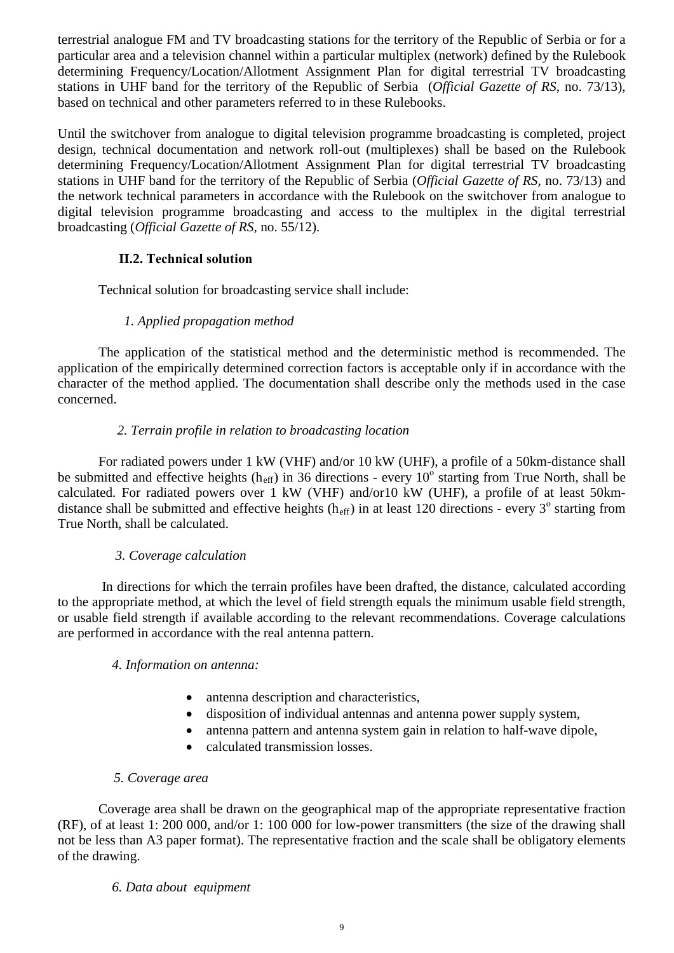terrestrial analogue FM and TV broadcasting stations for the territory of the Republic of Serbia or for a particular area and a television channel within a particular multiplex (network) defined by the Rulebook determining Frequency/Location/Allotment Assignment Plan for digital terrestrial TV broadcasting stations in UHF band for the territory of the Republic of Serbia (*Official Gazette of RS,* no. 73/13), based on technical and other parameters referred to in these Rulebooks.

Until the switchover from analogue to digital television programme broadcasting is completed, project design, technical documentation and network roll-out (multiplexes) shall be based on the Rulebook determining Frequency/Location/Allotment Assignment Plan for digital terrestrial TV broadcasting stations in UHF band for the territory of the Republic of Serbia (*Official Gazette of RS,* no. 73/13) and the network technical parameters in accordance with the Rulebook on the switchover from analogue to digital television programme broadcasting and access to the multiplex in the digital terrestrial broadcasting (*Official Gazette of RS,* no. 55/12).

## **II.2. Теchnical solution**

Technical solution for broadcasting service shall include:

## *1. Applied propagation method*

The application of the statistical method and the deterministic method is recommended. The application of the empirically determined correction factors is acceptable only if in accordance with the character of the method applied. The documentation shall describe only the methods used in the case concerned.

#### *2. Terrain profile in relation to broadcasting location*

For radiated powers under 1 kW (VHF) and/or 10 kW (UHF), a profile of a 50km-distance shall be submitted and effective heights ( $h_{\text{eff}}$ ) in 36 directions - every 10<sup>o</sup> starting from True North, shall be calculated. For radiated powers over 1 kW (VHF) and/or10 kW (UHF), a profile of at least 50kmdistance shall be submitted and effective heights ( $h_{\text{eff}}$ ) in at least 120 directions - every 3<sup>°</sup> starting from True North, shall be calculated.

#### *3. Coverage calculation*

 In directions for which the terrain profiles have been drafted, the distance, calculated according to the appropriate method, at which the level of field strength equals the minimum usable field strength, or usable field strength if available according to the relevant recommendations. Coverage calculations are performed in accordance with the real antenna pattern.

#### *4. Information on antenna:*

- antenna description and characteristics,
- disposition of individual antennas and antenna power supply system,
- antenna pattern and antenna system gain in relation to half-wave dipole,
- calculated transmission losses.

#### *5. Coverage area*

Coverage area shall be drawn on the geographical map of the appropriate representative fraction (RF), of at least 1: 200 000, and/or 1: 100 000 for low-power transmitters (the size of the drawing shall not be less than A3 paper format). The representative fraction and the scale shall be obligatory elements of the drawing.

#### *6. Data about equipment*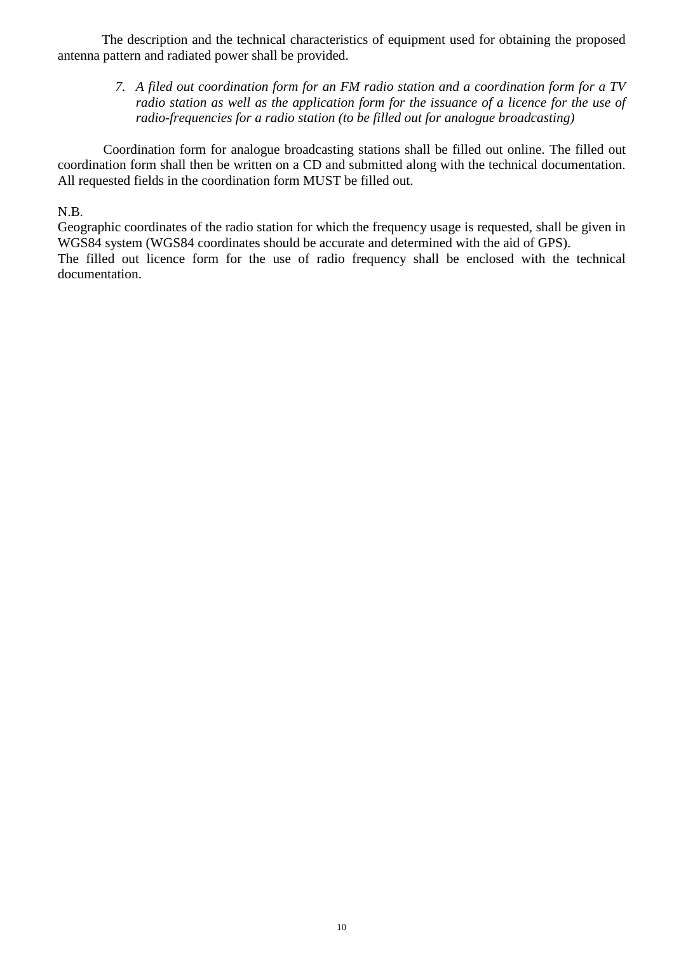The description and the technical characteristics of equipment used for obtaining the proposed antenna pattern and radiated power shall be provided.

*7. A filed out coordination form for an FM radio station and a coordination form for a TV radio station as well as the application form for the issuance of a licence for the use of radio-frequencies for a radio station (to be filled out for analogue broadcasting)*

 Coordination form for analogue broadcasting stations shall be filled out online. The filled out coordination form shall then be written on a CD and submitted along with the technical documentation. All requested fields in the coordination form MUST be filled out.

#### N.B.

Geographic coordinates of the radio station for which the frequency usage is requested, shall be given in WGS84 system (WGS84 coordinates should be accurate and determined with the aid of GPS). The filled out licence form for the use of radio frequency shall be enclosed with the technical documentation.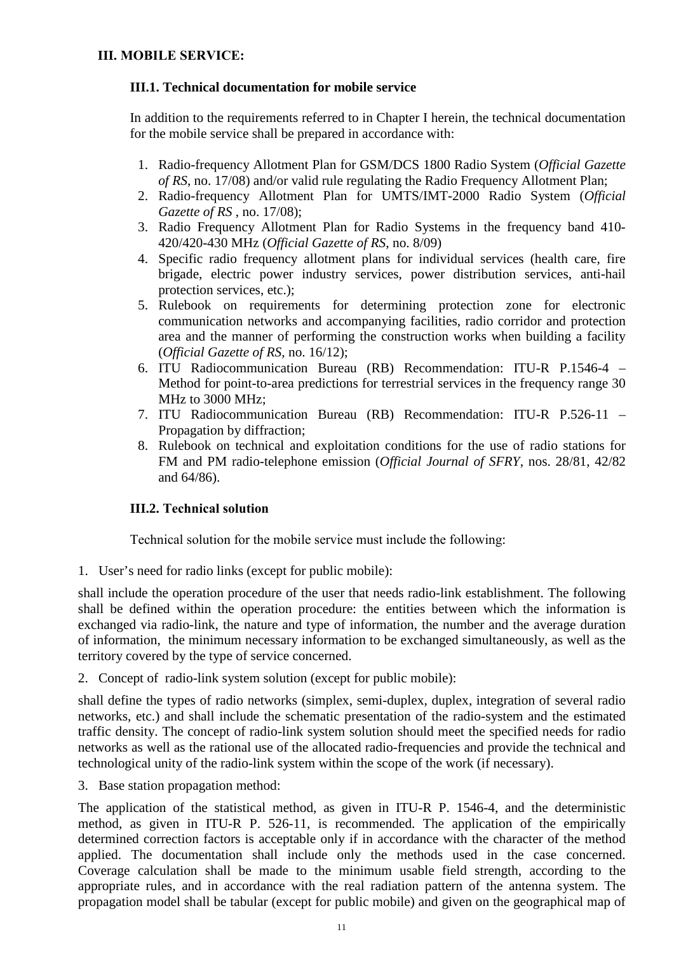#### **III.1. Technical documentation for mobile service**

In addition to the requirements referred to in Chapter I herein, the technical documentation for the mobile service shall be prepared in accordance with:

- 1. Radio-frequency Allotment Plan for GSM/DCS 1800 Radio System (*Official Gazette of RS*, no. 17/08) and/or valid rule regulating the Radio Frequency Allotment Plan;
- 2. Radio-frequency Allotment Plan for UMTS/IMT-2000 Radio System (*Official Gazette of RS* , no. 17/08);
- 3. Radio Frequency Allotment Plan for Radio Systems in the frequency band 410- 420/420-430 MHz (*Official Gazette of RS*, no. 8/09)
- 4. Specific radio frequency allotment plans for individual services (health care, fire brigade, electric power industry services, power distribution services, anti-hail protection services, etc.);
- 5. Rulebook on requirements for determining protection zone for electronic communication networks and accompanying facilities, radio corridor and protection area and the manner of performing the construction works when building a facility (*Official Gazette of RS*, no. 16/12);
- 6. ITU Radiocommunication Bureau (RB) Recommendation: ITU-R P.1546-4 Method for point-to-area predictions for terrestrial services in the frequency range 30 MHz to 3000 MHz;
- 7. ITU Radiocommunication Bureau (RB) Recommendation: ITU-R P.526-11 Propagation by diffraction;
- 8. Rulebook on technical and exploitation conditions for the use of radio stations for FM and PM radio-telephone emission (*Official Journal of SFRY*, nos. 28/81, 42/82 and 64/86).

## **III.2. Теchnical solution**

Теchnical solution for the mobile service must include the following:

1. User's need for radio links (except for public mobile):

shall include the operation procedure of the user that needs radio-link establishment. The following shall be defined within the operation procedure: the entities between which the information is exchanged via radio-link, the nature and type of information, the number and the average duration of information, the minimum necessary information to be exchanged simultaneously, as well as the territory covered by the type of service concerned.

2. Concept of radio-link system solution (except for public mobile):

shall define the types of radio networks (simplex, semi-duplex, duplex, integration of several radio networks, etc.) and shall include the schematic presentation of the radio-system and the estimated traffic density. The concept of radio-link system solution should meet the specified needs for radio networks as well as the rational use of the allocated radio-frequencies and provide the technical and technological unity of the radio-link system within the scope of the work (if necessary).

3. Base station propagation method:

The application of the statistical method, as given in ITU-R P. 1546-4, and the deterministic method, as given in ITU-R P. 526-11, is recommended. The application of the empirically determined correction factors is acceptable only if in accordance with the character of the method applied. The documentation shall include only the methods used in the case concerned. Coverage calculation shall be made to the minimum usable field strength, according to the appropriate rules, and in accordance with the real radiation pattern of the antenna system. The propagation model shall be tabular (except for public mobile) and given on the geographical map of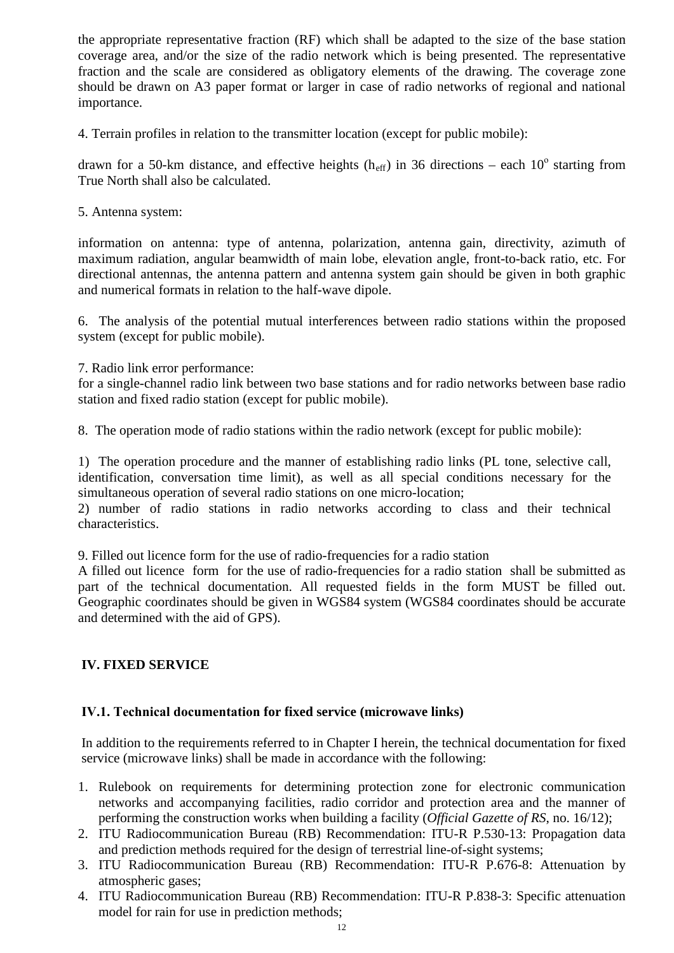the appropriate representative fraction (RF) which shall be adapted to the size of the base station coverage area, and/or the size of the radio network which is being presented. The representative fraction and the scale are considered as obligatory elements of the drawing. The coverage zone should be drawn on A3 paper format or larger in case of radio networks of regional and national importance.

4. Terrain profiles in relation to the transmitter location (except for public mobile):

drawn for a 50-km distance, and effective heights (h<sub>eff</sub>) in 36 directions – each 10<sup>o</sup> starting from True North shall also be calculated.

5. Antenna system:

information on antenna: type of antenna, polarization, antenna gain, directivity, azimuth of maximum radiation, angular beamwidth of main lobe, elevation angle, front-to-back ratio, etc. For directional antennas, the antenna pattern and antenna system gain should be given in both graphic and numerical formats in relation to the half-wave dipole.

6. The analysis of the potential mutual interferences between radio stations within the proposed system (except for public mobile).

7. Radio link error performance:

for a single-channel radio link between two base stations and for radio networks between base radio station and fixed radio station (except for public mobile).

8. The operation mode of radio stations within the radio network (except for public mobile):

1) The operation procedure and the manner of establishing radio links (PL tone, selective call, identification, conversation time limit), as well as all special conditions necessary for the simultaneous operation of several radio stations on one micro-location;

2) number of radio stations in radio networks according to class and their technical characteristics.

9. Filled out licence form for the use of radio-frequencies for a radio station

A filled out licence form for the use of radio-frequencies for a radio station shall be submitted as part of the technical documentation. All requested fields in the form MUST be filled out. Geographic coordinates should be given in WGS84 system (WGS84 coordinates should be accurate and determined with the aid of GPS).

## **IV. FIXED SERVICE**

#### **IV.1. Теchnical documentation for fixed service (microwave links)**

In addition to the requirements referred to in Chapter I herein, the technical documentation for fixed service (microwave links) shall be made in accordance with the following:

- 1. Rulebook on requirements for determining protection zone for electronic communication networks and accompanying facilities, radio corridor and protection area and the manner of performing the construction works when building a facility (*Official Gazette of RS*, no. 16/12);
- 2. ITU Radiocommunication Bureau (RB) Recommendation: ITU-R P.530-13: Propagation data and prediction methods required for the design of terrestrial line-of-sight systems;
- 3. ITU Radiocommunication Bureau (RB) Recommendation: ITU-R P.676-8: Attenuation by atmospheric gases;
- 4. ITU Radiocommunication Bureau (RB) Recommendation: ITU-R P.838-3: Specific attenuation model for rain for use in prediction methods;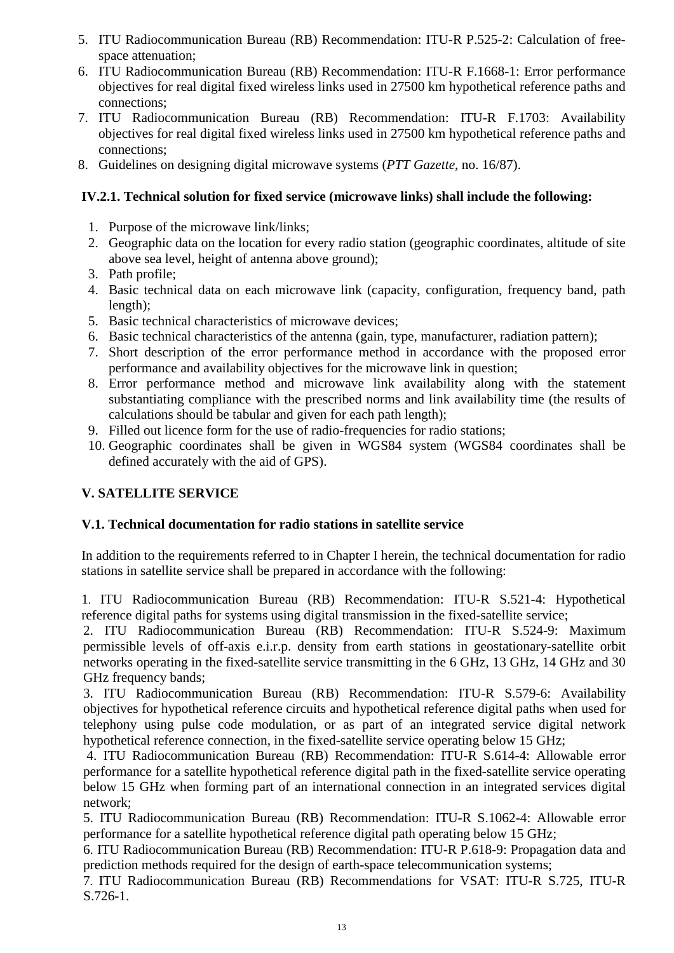- 5. ITU Radiocommunication Bureau (RB) Recommendation: ITU-R P.525-2: Calculation of freespace attenuation;
- 6. ITU Radiocommunication Bureau (RB) Recommendation: ITU-R F.1668-1: Error performance objectives for real digital fixed wireless links used in 27500 km hypothetical reference paths and connections;
- 7. ITU Radiocommunication Bureau (RB) Recommendation: ITU-R F.1703: Availability objectives for real digital fixed wireless links used in 27500 km hypothetical reference paths and connections;
- 8. Guidelines on designing digital microwave systems (*PTT Gazette*, no. 16/87).

## **IV.2.1. Technical solution for fixed service (microwave links) shall include the following:**

- 1. Purpose of the microwave link/links;
- 2. Geographic data on the location for every radio station (geographic coordinates, altitude of site above sea level, height of antenna above ground);
- 3. Path profile;
- 4. Basic technical data on each microwave link (capacity, configuration, frequency band, path length);
- 5. Basic technical characteristics of microwave devices;
- 6. Basic technical characteristics of the antenna (gain, type, manufacturer, radiation pattern);
- 7. Short description of the error performance method in accordance with the proposed error performance and availability objectives for the microwave link in question;
- 8. Error performance method and microwave link availability along with the statement substantiating compliance with the prescribed norms and link availability time (the results of calculations should be tabular and given for each path length);
- 9. Filled out licence form for the use of radio-frequencies for radio stations;
- 10. Geographic coordinates shall be given in WGS84 system (WGS84 coordinates shall be defined accurately with the aid of GPS).

## **V. SATELLITE SERVICE**

## **V.1. Technical documentation for radio stations in satellite service**

In addition to the requirements referred to in Chapter I herein, the technical documentation for radio stations in satellite service shall be prepared in accordance with the following:

1. ITU Radiocommunication Bureau (RB) Recommendation: ITU-R S.521-4: Hypothetical reference digital paths for systems using digital transmission in the fixed-satellite service;

2. ITU Radiocommunication Bureau (RB) Recommendation: ITU-R S.524-9: Maximum permissible levels of off-axis e.i.r.p. density from earth stations in geostationary-satellite orbit networks operating in the fixed-satellite service transmitting in the 6 GHz, 13 GHz, 14 GHz and 30 GHz frequency bands;

3. ITU Radiocommunication Bureau (RB) Recommendation: ITU-R S.579-6: Availability objectives for hypothetical reference circuits and hypothetical reference digital paths when used for telephony using pulse code modulation, or as part of an integrated service digital network hypothetical reference connection, in the fixed-satellite service operating below 15 GHz;

4. ITU Radiocommunication Bureau (RB) Recommendation: ITU-R S.614-4: Allowable error performance for a satellite hypothetical reference digital path in the fixed-satellite service operating below 15 GHz when forming part of an international connection in an integrated services digital network;

5. ITU Radiocommunication Bureau (RB) Recommendation: ITU-R S.1062-4: Allowable error performance for a satellite hypothetical reference digital path operating below 15 GHz;

6. ITU Radiocommunication Bureau (RB) Recommendation: ITU-R P.618-9: Propagation data and prediction methods required for the design of earth-space telecommunication systems;

7. ITU Radiocommunication Bureau (RB) Recommendations for VSAT: ITU-R S.725, ITU-R S.726-1.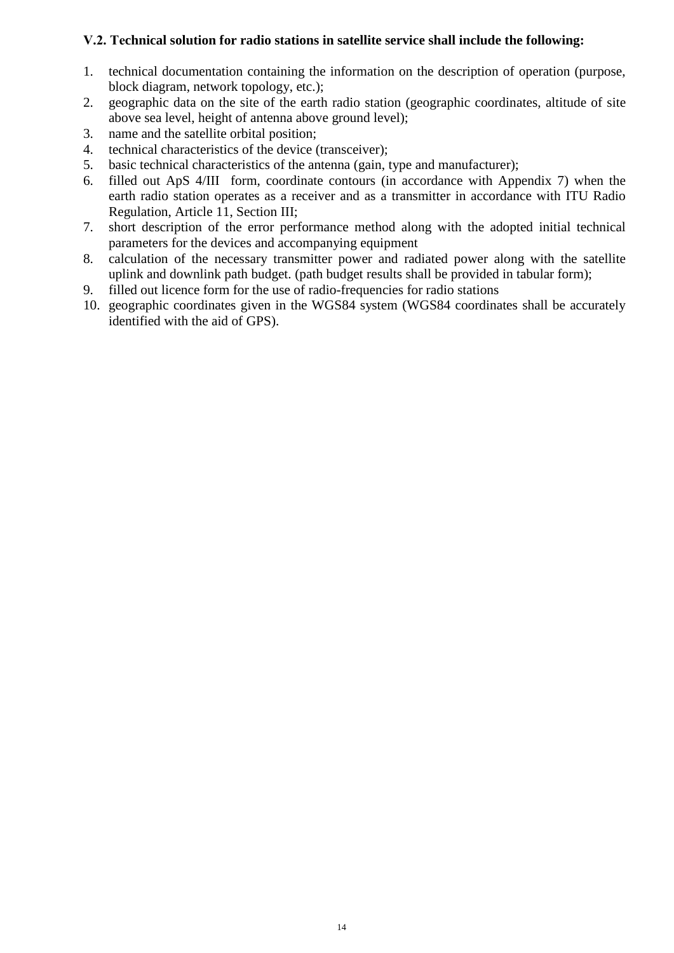## **V.2. Теchnical solution for radio stations in satellite service shall include the following:**

- 1. technical documentation containing the information on the description of operation (purpose, block diagram, network topology, etc.);
- 2. geographic data on the site of the earth radio station (geographic coordinates, altitude of site above sea level, height of antenna above ground level);
- 3. name and the satellite orbital position;
- 4. technical characteristics of the device (transceiver);
- 5. basic technical characteristics of the antenna (gain, type and manufacturer);
- 6. filled out ApS 4/III form, coordinate contours (in accordance with Appendix 7) when the earth radio station operates as a receiver and as a transmitter in accordance with ITU Radio Regulation, Article 11, Section III;
- 7. short description of the error performance method along with the adopted initial technical parameters for the devices and accompanying equipment
- 8. calculation of the necessary transmitter power and radiated power along with the satellite uplink and downlink path budget. (path budget results shall be provided in tabular form);
- 9. filled out licence form for the use of radio-frequencies for radio stations
- 10. geographic coordinates given in the WGS84 system (WGS84 coordinates shall be accurately identified with the aid of GPS).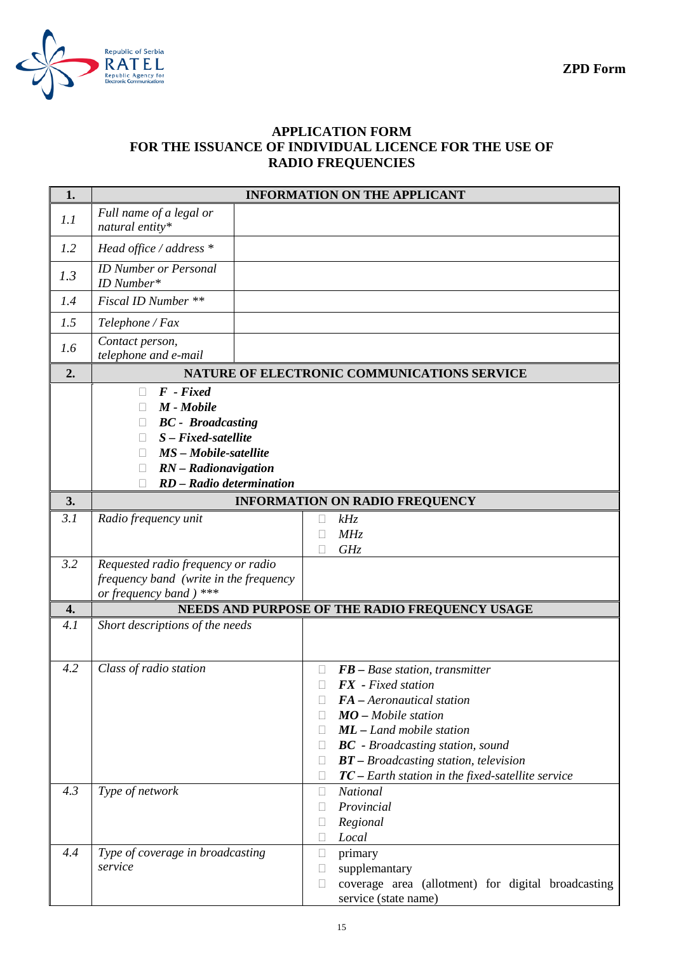

## **APPLICATION FORM FOR THE ISSUANCE OF INDIVIDUAL LICENCE FOR THE USE OF RADIO FREQUENCIES**

| 1.  |                                                                                                                                                                               |                  | <b>INFORMATION ON THE APPLICANT</b>                                                                                                                                                                                                                                                            |
|-----|-------------------------------------------------------------------------------------------------------------------------------------------------------------------------------|------------------|------------------------------------------------------------------------------------------------------------------------------------------------------------------------------------------------------------------------------------------------------------------------------------------------|
| 1.1 | Full name of a legal or<br>natural entity*                                                                                                                                    |                  |                                                                                                                                                                                                                                                                                                |
| 1.2 | Head office / address $*$                                                                                                                                                     |                  |                                                                                                                                                                                                                                                                                                |
| 1.3 | <b>ID</b> Number or Personal<br>ID Number*                                                                                                                                    |                  |                                                                                                                                                                                                                                                                                                |
| 1.4 | Fiscal ID Number **                                                                                                                                                           |                  |                                                                                                                                                                                                                                                                                                |
| 1.5 | Telephone / Fax                                                                                                                                                               |                  |                                                                                                                                                                                                                                                                                                |
| 1.6 | Contact person,<br>telephone and e-mail                                                                                                                                       |                  |                                                                                                                                                                                                                                                                                                |
| 2.  |                                                                                                                                                                               |                  | NATURE OF ELECTRONIC COMMUNICATIONS SERVICE                                                                                                                                                                                                                                                    |
|     | $F$ - Fixed<br>$\Box$<br>M - Mobile<br><b>BC</b> - Broadcasting<br>$S$ – $Fixed$ -satellite<br>MS - Mobile-satellite<br>RN - Radionavigation<br>П<br>RD - Radio determination |                  |                                                                                                                                                                                                                                                                                                |
| 3.  |                                                                                                                                                                               |                  | <b>INFORMATION ON RADIO FREQUENCY</b>                                                                                                                                                                                                                                                          |
| 3.1 | Radio frequency unit                                                                                                                                                          | u<br>L           | kHz<br>MHz<br>GHz                                                                                                                                                                                                                                                                              |
| 3.2 | Requested radio frequency or radio<br>frequency band (write in the frequency<br>or frequency band) ***                                                                        |                  |                                                                                                                                                                                                                                                                                                |
| 4.  |                                                                                                                                                                               |                  | NEEDS AND PURPOSE OF THE RADIO FREQUENCY USAGE                                                                                                                                                                                                                                                 |
| 4.1 | Short descriptions of the needs                                                                                                                                               |                  |                                                                                                                                                                                                                                                                                                |
| 4.2 | Class of radio station                                                                                                                                                        | Ш<br>П<br>Г      | $FB - Base station, transmitter$<br>$FX$ - Fixed station<br>FA - Aeronautical station<br>$MO$ – Mobile station<br><b>ML</b> - Land mobile station<br><b>BC</b> - Broadcasting station, sound<br>$BT - Broadcasting station, television$<br>$TC$ – Earth station in the fixed-satellite service |
| 4.3 | Type of network                                                                                                                                                               | Ш<br>г<br>u      | National<br>Provincial<br>Regional<br>Local                                                                                                                                                                                                                                                    |
| 4.4 | Type of coverage in broadcasting<br>service                                                                                                                                   | $\Box$<br>u<br>Ш | primary<br>supplemantary<br>coverage area (allotment) for digital broadcasting<br>service (state name)                                                                                                                                                                                         |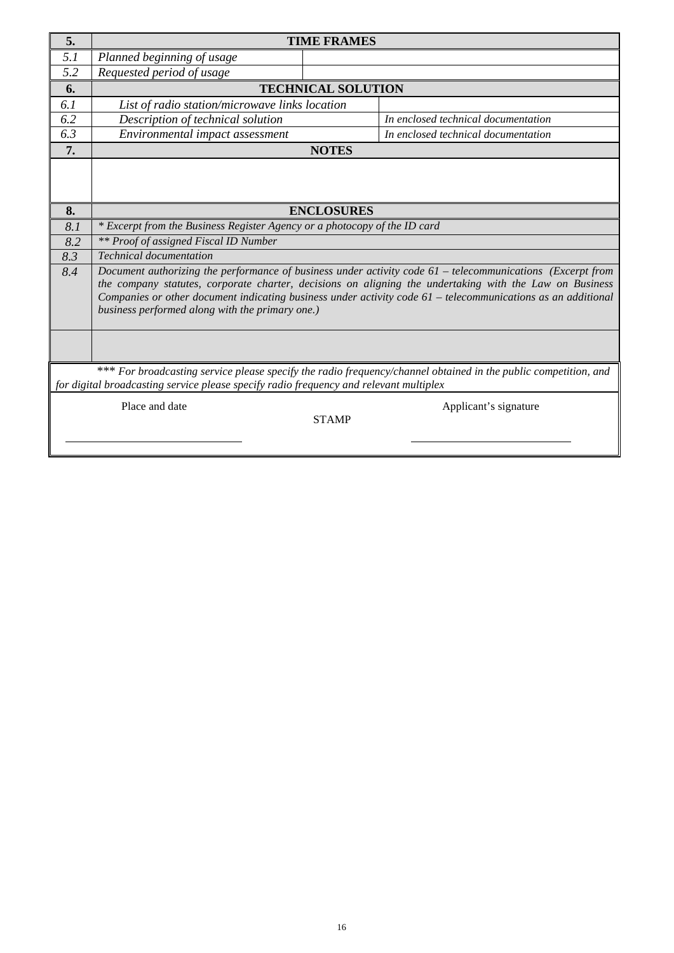| 5.                                                                                                              |                                                                                                                                                                                                                                                                                                                                                                                                                              | <b>TIME FRAMES</b> |                                     |  |  |  |  |  |
|-----------------------------------------------------------------------------------------------------------------|------------------------------------------------------------------------------------------------------------------------------------------------------------------------------------------------------------------------------------------------------------------------------------------------------------------------------------------------------------------------------------------------------------------------------|--------------------|-------------------------------------|--|--|--|--|--|
| 5.1                                                                                                             | Planned beginning of usage                                                                                                                                                                                                                                                                                                                                                                                                   |                    |                                     |  |  |  |  |  |
| 5.2                                                                                                             | Requested period of usage                                                                                                                                                                                                                                                                                                                                                                                                    |                    |                                     |  |  |  |  |  |
| 6.                                                                                                              | <b>TECHNICAL SOLUTION</b>                                                                                                                                                                                                                                                                                                                                                                                                    |                    |                                     |  |  |  |  |  |
| 6.1                                                                                                             | List of radio station/microwave links location                                                                                                                                                                                                                                                                                                                                                                               |                    |                                     |  |  |  |  |  |
| 6.2                                                                                                             | Description of technical solution                                                                                                                                                                                                                                                                                                                                                                                            |                    | In enclosed technical documentation |  |  |  |  |  |
| 6.3                                                                                                             | Environmental impact assessment                                                                                                                                                                                                                                                                                                                                                                                              |                    | In enclosed technical documentation |  |  |  |  |  |
| 7.                                                                                                              |                                                                                                                                                                                                                                                                                                                                                                                                                              | <b>NOTES</b>       |                                     |  |  |  |  |  |
| 8.                                                                                                              |                                                                                                                                                                                                                                                                                                                                                                                                                              |                    |                                     |  |  |  |  |  |
|                                                                                                                 | <b>ENCLOSURES</b>                                                                                                                                                                                                                                                                                                                                                                                                            |                    |                                     |  |  |  |  |  |
| 8.1<br>8.2                                                                                                      | * Excerpt from the Business Register Agency or a photocopy of the ID card                                                                                                                                                                                                                                                                                                                                                    |                    |                                     |  |  |  |  |  |
| 8.3                                                                                                             | <b>** Proof of assigned Fiscal ID Number</b>                                                                                                                                                                                                                                                                                                                                                                                 |                    |                                     |  |  |  |  |  |
| 8.4                                                                                                             | <b>Technical documentation</b><br>Document authorizing the performance of business under activity code 61 – telecommunications (Excerpt from<br>the company statutes, corporate charter, decisions on aligning the undertaking with the Law on Business<br>Companies or other document indicating business under activity code $61$ – telecommunications as an additional<br>business performed along with the primary one.) |                    |                                     |  |  |  |  |  |
| *** For broadcasting service please specify the radio frequency/channel obtained in the public competition, and |                                                                                                                                                                                                                                                                                                                                                                                                                              |                    |                                     |  |  |  |  |  |
|                                                                                                                 | for digital broadcasting service please specify radio frequency and relevant multiplex                                                                                                                                                                                                                                                                                                                                       |                    |                                     |  |  |  |  |  |
|                                                                                                                 | Place and date                                                                                                                                                                                                                                                                                                                                                                                                               | <b>STAMP</b>       | Applicant's signature               |  |  |  |  |  |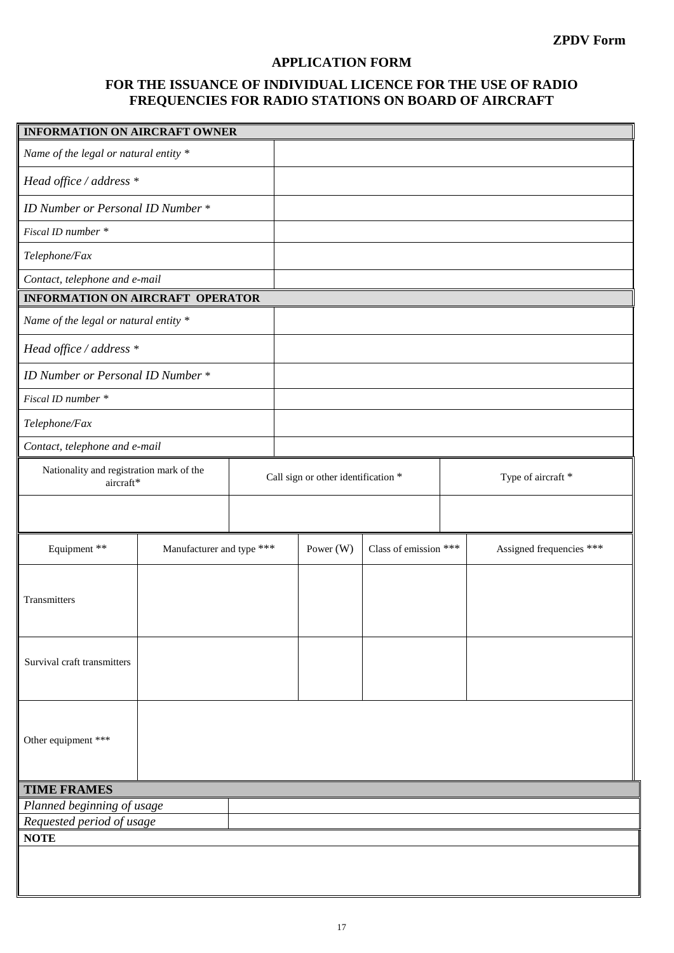## **APPLICATION FORM**

## **FOR THE ISSUANCE OF INDIVIDUAL LICENCE FOR THE USE OF RADIO FREQUENCIES FOR RADIO STATIONS ON BOARD OF AIRCRAFT**

| <b>INFORMATION ON AIRCRAFT OWNER</b>                  |                           |  |                                     |                       |                    |                          |  |
|-------------------------------------------------------|---------------------------|--|-------------------------------------|-----------------------|--------------------|--------------------------|--|
| Name of the legal or natural entity *                 |                           |  |                                     |                       |                    |                          |  |
| Head office / address *                               |                           |  |                                     |                       |                    |                          |  |
| ID Number or Personal ID Number *                     |                           |  |                                     |                       |                    |                          |  |
| Fiscal ID number *                                    |                           |  |                                     |                       |                    |                          |  |
| Telephone/Fax                                         |                           |  |                                     |                       |                    |                          |  |
| Contact, telephone and e-mail                         |                           |  |                                     |                       |                    |                          |  |
| <b>INFORMATION ON AIRCRAFT OPERATOR</b>               |                           |  |                                     |                       |                    |                          |  |
| Name of the legal or natural entity *                 |                           |  |                                     |                       |                    |                          |  |
| Head office / address *                               |                           |  |                                     |                       |                    |                          |  |
| ID Number or Personal ID Number *                     |                           |  |                                     |                       |                    |                          |  |
| Fiscal ID number *                                    |                           |  |                                     |                       |                    |                          |  |
| Telephone/Fax                                         |                           |  |                                     |                       |                    |                          |  |
| Contact, telephone and e-mail                         |                           |  |                                     |                       |                    |                          |  |
| Nationality and registration mark of the<br>aircraft* |                           |  | Call sign or other identification * |                       | Type of aircraft * |                          |  |
|                                                       |                           |  |                                     |                       |                    |                          |  |
| Equipment **                                          | Manufacturer and type *** |  | Power $(W)$                         | Class of emission *** |                    | Assigned frequencies *** |  |
| Transmitters                                          |                           |  |                                     |                       |                    |                          |  |
| Survival craft transmitters                           |                           |  |                                     |                       |                    |                          |  |
| Other equipment ***                                   |                           |  |                                     |                       |                    |                          |  |
| <b>TIME FRAMES</b>                                    |                           |  |                                     |                       |                    |                          |  |
| Planned beginning of usage                            |                           |  |                                     |                       |                    |                          |  |
| Requested period of usage                             |                           |  |                                     |                       |                    |                          |  |
| <b>NOTE</b>                                           |                           |  |                                     |                       |                    |                          |  |
|                                                       |                           |  |                                     |                       |                    |                          |  |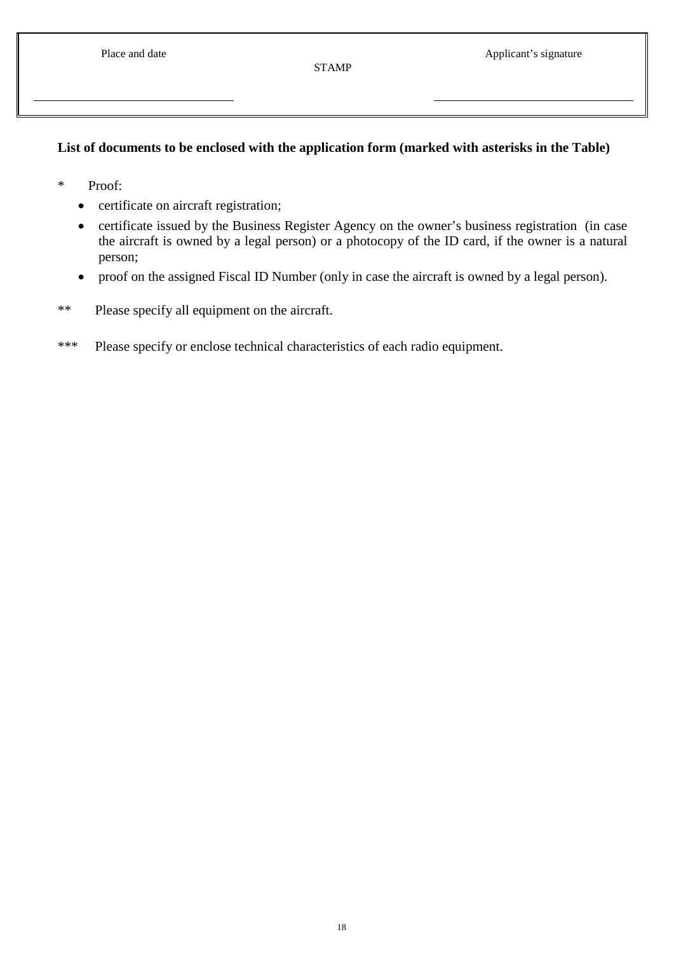## **List of documents to be enclosed with the application form (marked with asterisks in the Table)**

- \* Proof:
	- certificate on aircraft registration;
	- certificate issued by the Business Register Agency on the owner's business registration (in case the aircraft is owned by a legal person) or a photocopy of the ID card, if the owner is a natural person;
	- proof on the assigned Fiscal ID Number (only in case the aircraft is owned by a legal person).
- \*\* Please specify all equipment on the aircraft.
- \*\*\* Please specify or enclose technical characteristics of each radio equipment.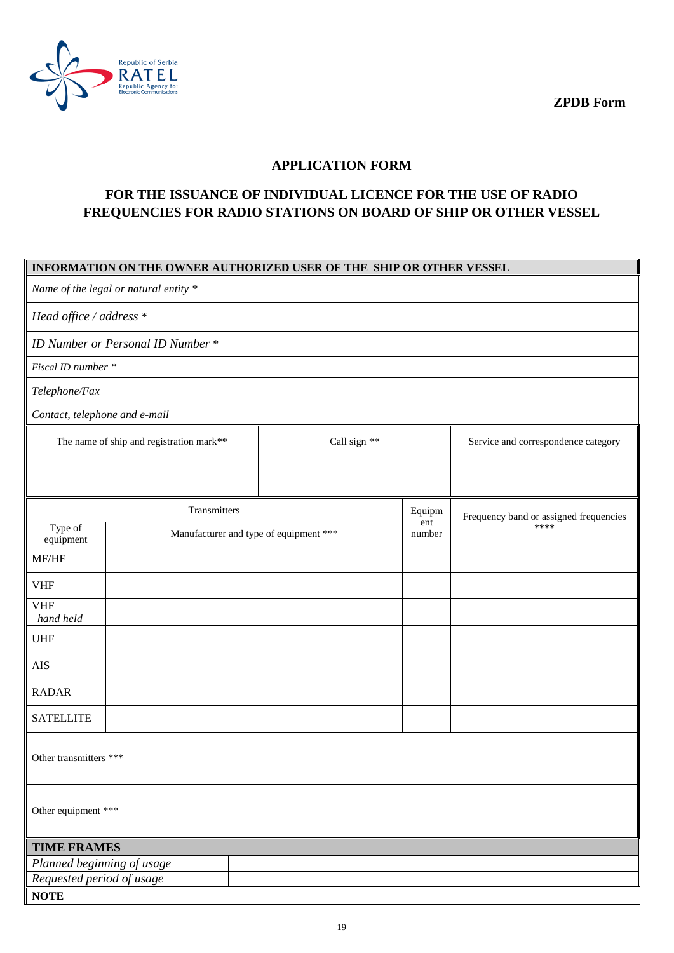**ZPDB Form**



## **APPLICATION FORM**

## **FOR THE ISSUANCE OF INDIVIDUAL LICENCE FOR THE USE OF RADIO FREQUENCIES FOR RADIO STATIONS ON BOARD OF SHIP OR OTHER VESSEL**

| INFORMATION ON THE OWNER AUTHORIZED USER OF THE SHIP OR OTHER VESSEL |                                          |              |               |                                        |  |  |  |  |
|----------------------------------------------------------------------|------------------------------------------|--------------|---------------|----------------------------------------|--|--|--|--|
|                                                                      | Name of the legal or natural entity *    |              |               |                                        |  |  |  |  |
| Head office / address *                                              |                                          |              |               |                                        |  |  |  |  |
|                                                                      | ID Number or Personal ID Number *        |              |               |                                        |  |  |  |  |
| Fiscal ID number *                                                   |                                          |              |               |                                        |  |  |  |  |
| Telephone/Fax                                                        |                                          |              |               |                                        |  |  |  |  |
| Contact, telephone and e-mail                                        |                                          |              |               |                                        |  |  |  |  |
|                                                                      | The name of ship and registration mark** | Call sign ** |               | Service and correspondence category    |  |  |  |  |
|                                                                      |                                          |              |               |                                        |  |  |  |  |
|                                                                      | Transmitters                             |              | Equipm        | Frequency band or assigned frequencies |  |  |  |  |
| Type of<br>equipment                                                 | Manufacturer and type of equipment ***   |              | ent<br>number | ****                                   |  |  |  |  |
| MF/HF                                                                |                                          |              |               |                                        |  |  |  |  |
| <b>VHF</b>                                                           |                                          |              |               |                                        |  |  |  |  |
| <b>VHF</b><br>hand held                                              |                                          |              |               |                                        |  |  |  |  |
| <b>UHF</b>                                                           |                                          |              |               |                                        |  |  |  |  |
| AIS                                                                  |                                          |              |               |                                        |  |  |  |  |
| <b>RADAR</b>                                                         |                                          |              |               |                                        |  |  |  |  |
| <b>SATELLITE</b>                                                     |                                          |              |               |                                        |  |  |  |  |
|                                                                      | Other transmitters ***                   |              |               |                                        |  |  |  |  |
| Other equipment ***                                                  |                                          |              |               |                                        |  |  |  |  |
|                                                                      | <b>TIME FRAMES</b>                       |              |               |                                        |  |  |  |  |
| Planned beginning of usage<br>Requested period of usage              |                                          |              |               |                                        |  |  |  |  |
| <b>NOTE</b>                                                          |                                          |              |               |                                        |  |  |  |  |
|                                                                      |                                          |              |               |                                        |  |  |  |  |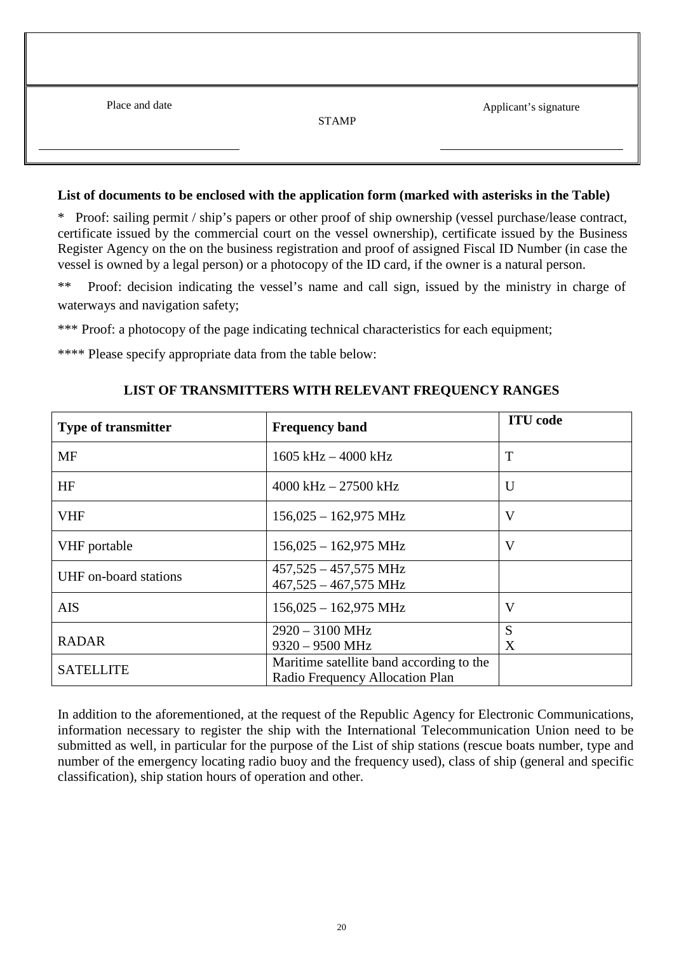| Place and date | <b>STAMP</b> | Applicant's signature |
|----------------|--------------|-----------------------|
|                |              |                       |

#### **List of documents to be enclosed with the application form (marked with asterisks in the Table)**

\* Proof: sailing permit / ship's papers or other proof of ship ownership (vessel purchase/lease contract, certificate issued by the commercial court on the vessel ownership), certificate issued by the Business Register Agency on the on the business registration and proof of assigned Fiscal ID Number (in case the vessel is owned by a legal person) or a photocopy of the ID card, if the owner is a natural person.

\*\* Proof: decision indicating the vessel's name and call sign, issued by the ministry in charge of waterways and navigation safety;

\*\*\* Proof: a photocopy of the page indicating technical characteristics for each equipment;

\*\*\*\* Please specify appropriate data from the table below:

| <b>Type of transmitter</b> | <b>Frequency band</b>                                      | <b>ITU</b> code |
|----------------------------|------------------------------------------------------------|-----------------|
| <b>MF</b>                  | $1605$ kHz $-$ 4000 kHz                                    | T               |
| HF                         | $4000$ kHz $- 27500$ kHz                                   | $\mathbf{U}$    |
| <b>VHF</b>                 | $156,025 - 162,975$ MHz                                    | V               |
| VHF portable               | $156,025 - 162,975$ MHz                                    | V               |
| UHF on-board stations      | $457,525 - 457,575$ MHz<br>$467,525 - 467,575 \text{ MHz}$ |                 |
| <b>AIS</b>                 | $156,025 - 162,975 \text{ MHz}$                            | V               |
|                            | $2920 - 3100 \text{ MHz}$                                  | S               |
| <b>RADAR</b>               | $9320 - 9500$ MHz                                          | X               |
| <b>SATELLITE</b>           | Maritime satellite band according to the                   |                 |
|                            | Radio Frequency Allocation Plan                            |                 |

#### **LIST OF TRANSMITTERS WITH RELEVANT FREQUENCY RANGES**

In addition to the aforementioned, at the request of the Republic Agency for Electronic Communications, information necessary to register the ship with the International Telecommunication Union need to be submitted as well, in particular for the purpose of the List of ship stations (rescue boats number, type and number of the emergency locating radio buoy and the frequency used), class of ship (general and specific classification), ship station hours of operation and other.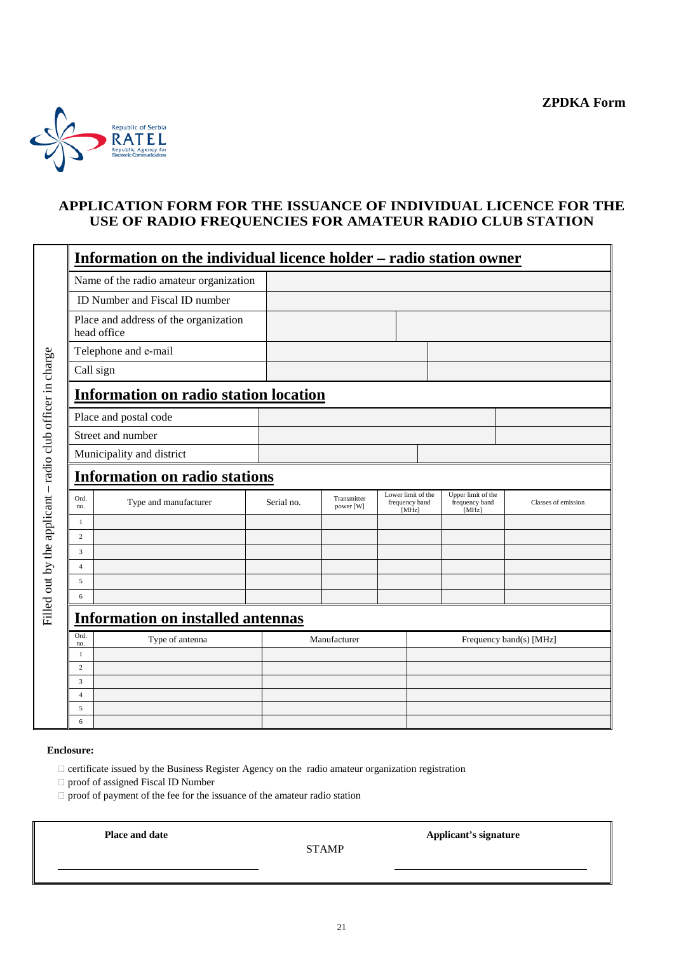

## **APPLICATION FORM FOR THE ISSUANCE OF INDIVIDUAL LICENCE FOR THE USE OF RADIO FREQUENCIES FOR AMATEUR RADIO CLUB STATION**

|                                                            |                     | Information on the individual licence holder – radio station owner |            |                          |                                               |                                               |                         |
|------------------------------------------------------------|---------------------|--------------------------------------------------------------------|------------|--------------------------|-----------------------------------------------|-----------------------------------------------|-------------------------|
|                                                            |                     | Name of the radio amateur organization                             |            |                          |                                               |                                               |                         |
|                                                            |                     | ID Number and Fiscal ID number                                     |            |                          |                                               |                                               |                         |
|                                                            |                     | Place and address of the organization<br>head office               |            |                          |                                               |                                               |                         |
|                                                            |                     | Telephone and e-mail                                               |            |                          |                                               |                                               |                         |
|                                                            | Call sign           |                                                                    |            |                          |                                               |                                               |                         |
| Filled out by the applicant - radio club officer in charge |                     | <b>Information on radio station location</b>                       |            |                          |                                               |                                               |                         |
|                                                            |                     | Place and postal code                                              |            |                          |                                               |                                               |                         |
|                                                            |                     | Street and number                                                  |            |                          |                                               |                                               |                         |
|                                                            |                     | Municipality and district                                          |            |                          |                                               |                                               |                         |
|                                                            |                     | <b>Information on radio stations</b>                               |            |                          |                                               |                                               |                         |
|                                                            | Ord.<br>no.         | Type and manufacturer                                              | Serial no. | Transmitter<br>power [W] | Lower limit of the<br>frequency band<br>[MHz] | Upper limit of the<br>frequency band<br>[MHz] | Classes of emission     |
|                                                            | $\mathbf{1}$        |                                                                    |            |                          |                                               |                                               |                         |
|                                                            | 2<br>3              |                                                                    |            |                          |                                               |                                               |                         |
|                                                            | $\overline{4}$      |                                                                    |            |                          |                                               |                                               |                         |
|                                                            | 5                   |                                                                    |            |                          |                                               |                                               |                         |
|                                                            | 6                   |                                                                    |            |                          |                                               |                                               |                         |
|                                                            |                     | <b>Information on installed antennas</b>                           |            |                          |                                               |                                               |                         |
|                                                            | Ord.<br>no.         | Type of antenna                                                    |            | Manufacturer             |                                               |                                               | Frequency band(s) [MHz] |
|                                                            | 1                   |                                                                    |            |                          |                                               |                                               |                         |
|                                                            | 2                   |                                                                    |            |                          |                                               |                                               |                         |
|                                                            | 3<br>$\overline{4}$ |                                                                    |            |                          |                                               |                                               |                         |
|                                                            | 5                   |                                                                    |            |                          |                                               |                                               |                         |
|                                                            | 6                   |                                                                    |            |                          |                                               |                                               |                         |

#### **Enclosure:**

 $\Box$  certificate issued by the Business Register Agency on the radio amateur organization registration

proof of assigned Fiscal ID Number

 $\Box$  proof of payment of the fee for the issuance of the amateur radio station

 **Place and date**

STAMP

 **Applicant's signature**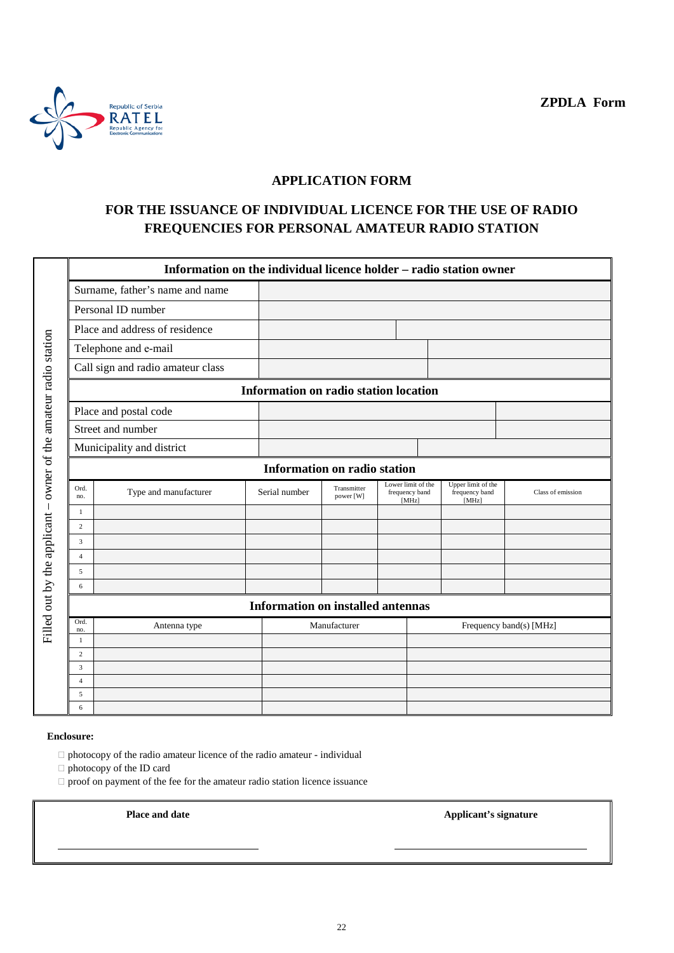**ZPDLA Form**



## **APPLICATION FORM**

## **FOR THE ISSUANCE OF INDIVIDUAL LICENCE FOR THE USE OF RADIO FREQUENCIES FOR PERSONAL AMATEUR RADIO STATION**

|                                                                  |                                       | Information on the individual licence holder – radio station owner |                                          |                          |                                      |                         |                                               |                   |  |
|------------------------------------------------------------------|---------------------------------------|--------------------------------------------------------------------|------------------------------------------|--------------------------|--------------------------------------|-------------------------|-----------------------------------------------|-------------------|--|
|                                                                  |                                       | Surname, father's name and name                                    |                                          |                          |                                      |                         |                                               |                   |  |
|                                                                  |                                       | Personal ID number                                                 |                                          |                          |                                      |                         |                                               |                   |  |
|                                                                  |                                       | Place and address of residence                                     |                                          |                          |                                      |                         |                                               |                   |  |
|                                                                  |                                       | Telephone and e-mail                                               |                                          |                          |                                      |                         |                                               |                   |  |
|                                                                  |                                       | Call sign and radio amateur class                                  |                                          |                          |                                      |                         |                                               |                   |  |
|                                                                  | Information on radio station location |                                                                    |                                          |                          |                                      |                         |                                               |                   |  |
|                                                                  |                                       |                                                                    |                                          |                          |                                      |                         |                                               |                   |  |
|                                                                  |                                       | Place and postal code                                              |                                          |                          |                                      |                         |                                               |                   |  |
|                                                                  |                                       | Street and number                                                  |                                          |                          |                                      |                         |                                               |                   |  |
|                                                                  |                                       | Municipality and district                                          |                                          |                          |                                      |                         |                                               |                   |  |
| Filled out by the applicant - owner of the amateur radio station |                                       | <b>Information on radio station</b>                                |                                          |                          |                                      |                         |                                               |                   |  |
|                                                                  | Ord.<br>no.                           | Type and manufacturer                                              | Serial number                            | Transmitter<br>power [W] | Lower limit of the<br>frequency band | [MHz]                   | Upper limit of the<br>frequency band<br>[MHz] | Class of emission |  |
|                                                                  | 1                                     |                                                                    |                                          |                          |                                      |                         |                                               |                   |  |
|                                                                  | $\overline{c}$                        |                                                                    |                                          |                          |                                      |                         |                                               |                   |  |
|                                                                  | $\overline{3}$                        |                                                                    |                                          |                          |                                      |                         |                                               |                   |  |
|                                                                  | $\overline{4}$                        |                                                                    |                                          |                          |                                      |                         |                                               |                   |  |
|                                                                  | 5                                     |                                                                    |                                          |                          |                                      |                         |                                               |                   |  |
|                                                                  | 6                                     |                                                                    |                                          |                          |                                      |                         |                                               |                   |  |
|                                                                  |                                       |                                                                    | <b>Information on installed antennas</b> |                          |                                      |                         |                                               |                   |  |
|                                                                  | Ord.<br>no.                           | Antenna type                                                       |                                          | Manufacturer             |                                      | Frequency band(s) [MHz] |                                               |                   |  |
|                                                                  | 1                                     |                                                                    |                                          |                          |                                      |                         |                                               |                   |  |
|                                                                  | $\overline{c}$                        |                                                                    |                                          |                          |                                      |                         |                                               |                   |  |
|                                                                  | 3                                     |                                                                    |                                          |                          |                                      |                         |                                               |                   |  |
|                                                                  | $\overline{4}$                        |                                                                    |                                          |                          |                                      |                         |                                               |                   |  |
|                                                                  | 5                                     |                                                                    |                                          |                          |                                      |                         |                                               |                   |  |
|                                                                  | 6                                     |                                                                    |                                          |                          |                                      |                         |                                               |                   |  |

#### **Enclosure:**

 $\Box$  photocopy of the radio amateur licence of the radio amateur - individual

photocopy of the ID card

 $\Box$  proof on payment of the fee for the amateur radio station licence issuance

**Place and date Applicant's signature**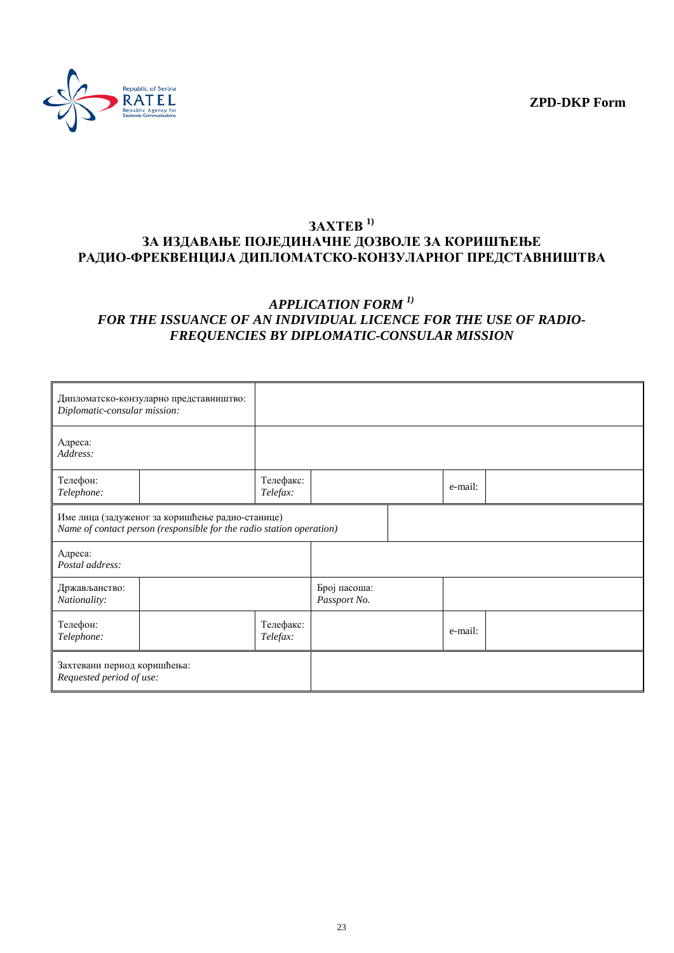**ZPD-DKP Form**



## **ЗАХТЕВ 1) ЗА ИЗДАВАЊЕ ПОЈЕДИНАЧНЕ ДОЗВОЛЕ ЗА КОРИШЋЕЊЕ РАДИО-ФРЕКВЕНЦИЈА ДИПЛОМАТСКО-КОНЗУЛАРНОГ ПРЕДСТАВНИШТВА**

## *APPLICATION FORM 1) FOR THE ISSUANCE OF AN INDIVIDUAL LICENCE FOR THE USE OF RADIO-FREQUENCIES BY DIPLOMATIC-CONSULAR MISSION*

| Diplomatic-consular mission:                            | Дипломатско-конзуларно представништво:                                                                                  |                       |                              |         |  |
|---------------------------------------------------------|-------------------------------------------------------------------------------------------------------------------------|-----------------------|------------------------------|---------|--|
| Адреса:<br>Address:                                     |                                                                                                                         |                       |                              |         |  |
| Телефон:<br>Telephone:                                  |                                                                                                                         | Телефакс:<br>Telefax: |                              | e-mail: |  |
|                                                         | Име лица (задуженог за коришћење радио-станице)<br>Name of contact person (responsible for the radio station operation) |                       |                              |         |  |
| Адреса:<br>Postal address:                              |                                                                                                                         |                       |                              |         |  |
| Држављанство:<br>Nationality:                           |                                                                                                                         |                       | Број пасоша:<br>Passport No. |         |  |
| Телефон:<br>Telephone:                                  |                                                                                                                         | Телефакс:<br>Telefax: |                              | e-mail: |  |
| Захтевани период коришћења:<br>Requested period of use: |                                                                                                                         |                       |                              |         |  |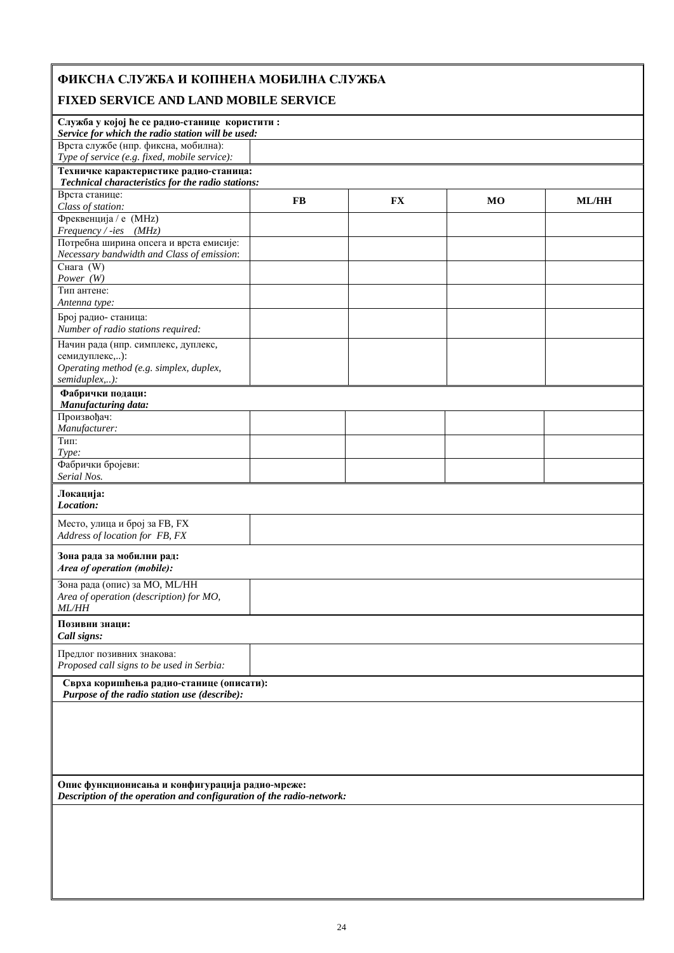# **ФИКСНА СЛУЖБА И КОПНЕНА МОБИЛНА СЛУЖБА**

## **FIXED SERVICE AND LAND MOBILE SERVICE**

| Служба у којој ће се радио-станице користити:<br>Service for which the radio station will be used:                      |    |           |    |              |  |  |
|-------------------------------------------------------------------------------------------------------------------------|----|-----------|----|--------------|--|--|
| Врста службе (нпр. фиксна, мобилна):<br>Type of service (e.g. fixed, mobile service):                                   |    |           |    |              |  |  |
|                                                                                                                         |    |           |    |              |  |  |
| Техничке карактеристике радио-станица:<br>Technical characteristics for the radio stations:                             |    |           |    |              |  |  |
| Врста станице:                                                                                                          |    |           |    |              |  |  |
| Class of station:                                                                                                       | FB | <b>FX</b> | MO | <b>ML/HH</b> |  |  |
| Фреквенција / е (MHz)                                                                                                   |    |           |    |              |  |  |
| Frequency / -ies (MHz)                                                                                                  |    |           |    |              |  |  |
| Потребна ширина опсега и врста емисије:                                                                                 |    |           |    |              |  |  |
| Necessary bandwidth and Class of emission:                                                                              |    |           |    |              |  |  |
| Снага $(W)$                                                                                                             |    |           |    |              |  |  |
| Power $(W)$                                                                                                             |    |           |    |              |  |  |
| Тип антене:                                                                                                             |    |           |    |              |  |  |
| Antenna type:                                                                                                           |    |           |    |              |  |  |
| Број радио- станица:                                                                                                    |    |           |    |              |  |  |
| Number of radio stations required:                                                                                      |    |           |    |              |  |  |
| Начин рада (нпр. симплекс, дуплекс,                                                                                     |    |           |    |              |  |  |
| семидуплекс,):                                                                                                          |    |           |    |              |  |  |
| Operating method (e.g. simplex, duplex,                                                                                 |    |           |    |              |  |  |
| semiduplex,):                                                                                                           |    |           |    |              |  |  |
| Фабрички подаци:                                                                                                        |    |           |    |              |  |  |
| Manufacturing data:                                                                                                     |    |           |    |              |  |  |
| Произвођач:                                                                                                             |    |           |    |              |  |  |
| Manufacturer:                                                                                                           |    |           |    |              |  |  |
| Тип:                                                                                                                    |    |           |    |              |  |  |
| Type:                                                                                                                   |    |           |    |              |  |  |
| Фабрички бројеви:                                                                                                       |    |           |    |              |  |  |
| Serial Nos.                                                                                                             |    |           |    |              |  |  |
| Локација:                                                                                                               |    |           |    |              |  |  |
| Location:                                                                                                               |    |           |    |              |  |  |
| Место, улица и број за FB, FX                                                                                           |    |           |    |              |  |  |
| Address of location for FB, FX                                                                                          |    |           |    |              |  |  |
|                                                                                                                         |    |           |    |              |  |  |
| Зона рада за мобилни рад:                                                                                               |    |           |    |              |  |  |
| Area of operation (mobile):                                                                                             |    |           |    |              |  |  |
| Зона рада (опис) за МО, МL/НН                                                                                           |    |           |    |              |  |  |
| Area of operation (description) for MO,                                                                                 |    |           |    |              |  |  |
| <i>ML/HH</i>                                                                                                            |    |           |    |              |  |  |
| Позивни знаци:                                                                                                          |    |           |    |              |  |  |
| Call signs:                                                                                                             |    |           |    |              |  |  |
| Предлог позивних знакова:                                                                                               |    |           |    |              |  |  |
| Proposed call signs to be used in Serbia:                                                                               |    |           |    |              |  |  |
|                                                                                                                         |    |           |    |              |  |  |
| Сврха коришћења радио-станице (описати):                                                                                |    |           |    |              |  |  |
| Purpose of the radio station use (describe):                                                                            |    |           |    |              |  |  |
|                                                                                                                         |    |           |    |              |  |  |
|                                                                                                                         |    |           |    |              |  |  |
|                                                                                                                         |    |           |    |              |  |  |
|                                                                                                                         |    |           |    |              |  |  |
|                                                                                                                         |    |           |    |              |  |  |
|                                                                                                                         |    |           |    |              |  |  |
| Опис функционисања и конфигурација радио-мреже:<br>Description of the operation and configuration of the radio-network: |    |           |    |              |  |  |
|                                                                                                                         |    |           |    |              |  |  |
|                                                                                                                         |    |           |    |              |  |  |
|                                                                                                                         |    |           |    |              |  |  |
|                                                                                                                         |    |           |    |              |  |  |
|                                                                                                                         |    |           |    |              |  |  |
|                                                                                                                         |    |           |    |              |  |  |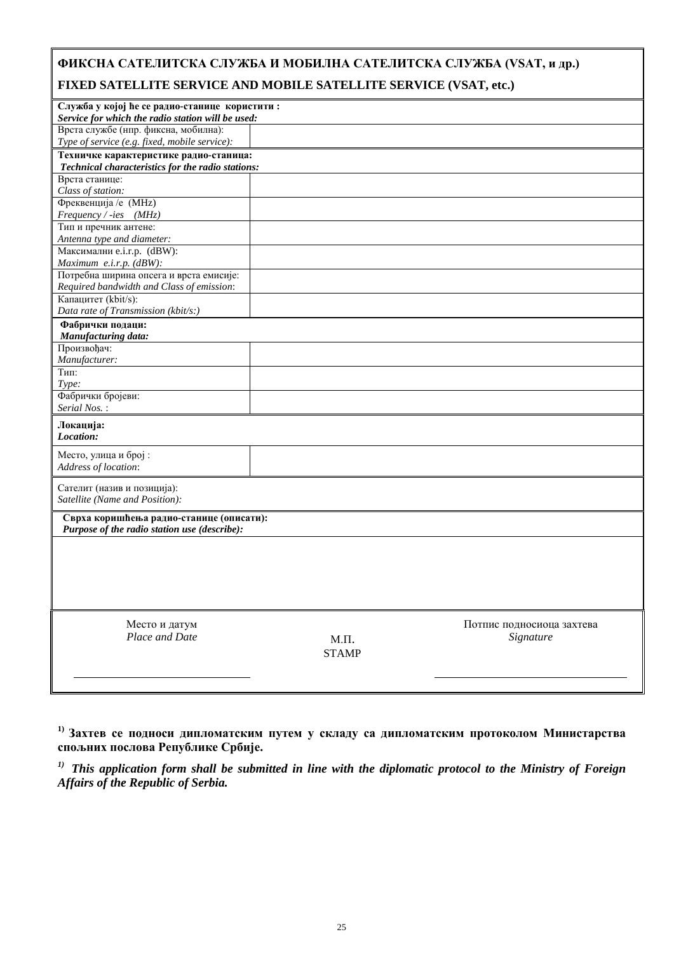## **ФИКСНА САТЕЛИТСКА СЛУЖБА И МОБИЛНА САТЕЛИТСКА СЛУЖБА (VSAT, и др.) FIXED SATELLITE SERVICE AND MOBILE SATELLITE SERVICE (VSAT, etc.)**

| Служба у којој ће се радио-станице користити:<br>Service for which the radio station will be used: |              |                           |
|----------------------------------------------------------------------------------------------------|--------------|---------------------------|
| Врста службе (нпр. фиксна, мобилна):                                                               |              |                           |
| Type of service (e.g. fixed, mobile service):                                                      |              |                           |
| Техничке карактеристике радио-станица:                                                             |              |                           |
| Technical characteristics for the radio stations:                                                  |              |                           |
| Врста станице:                                                                                     |              |                           |
| Class of station:                                                                                  |              |                           |
| Фреквенција / е (MHz)                                                                              |              |                           |
| Frequency / -ies (MHz)                                                                             |              |                           |
| Тип и пречник антене:                                                                              |              |                           |
| Antenna type and diameter:                                                                         |              |                           |
| Максимални e.i.r.p. (dBW):                                                                         |              |                           |
| Maximum e.i.r.p. (dBW):                                                                            |              |                           |
| Потребна ширина опсега и врста емисије:                                                            |              |                           |
| Required bandwidth and Class of emission:                                                          |              |                           |
| Капацитет (kbit/s):                                                                                |              |                           |
| Data rate of Transmission (kbit/s:)                                                                |              |                           |
| Фабрички подаци:                                                                                   |              |                           |
| Manufacturing data:                                                                                |              |                           |
| Произвођач:                                                                                        |              |                           |
| Manufacturer:                                                                                      |              |                           |
| Тип:                                                                                               |              |                           |
| Type:                                                                                              |              |                           |
| Фабрички бројеви:<br>Serial Nos.:                                                                  |              |                           |
|                                                                                                    |              |                           |
| Локација:<br>Location:                                                                             |              |                           |
|                                                                                                    |              |                           |
| Место, улица и број:                                                                               |              |                           |
| Address of location:                                                                               |              |                           |
| Сателит (назив и позиција):                                                                        |              |                           |
| Satellite (Name and Position):                                                                     |              |                           |
|                                                                                                    |              |                           |
| Сврха коришћења радио-станице (описати):                                                           |              |                           |
| Purpose of the radio station use (describe):                                                       |              |                           |
|                                                                                                    |              |                           |
|                                                                                                    |              |                           |
|                                                                                                    |              |                           |
|                                                                                                    |              |                           |
|                                                                                                    |              |                           |
|                                                                                                    |              |                           |
| Место и датум                                                                                      |              | Потпис подносиоца захтева |
| Place and Date                                                                                     | $M.\Pi.$     | Signature                 |
|                                                                                                    | <b>STAMP</b> |                           |
|                                                                                                    |              |                           |
|                                                                                                    |              |                           |
|                                                                                                    |              |                           |

**1) Захтев се подноси дипломатским путем у складу са дипломатским протоколом Министарства спољних послова Републике Србије.**

*1) This application form shall be submitted in line with the diplomatic protocol to the Ministry of Foreign Affairs of the Republic of Serbia.*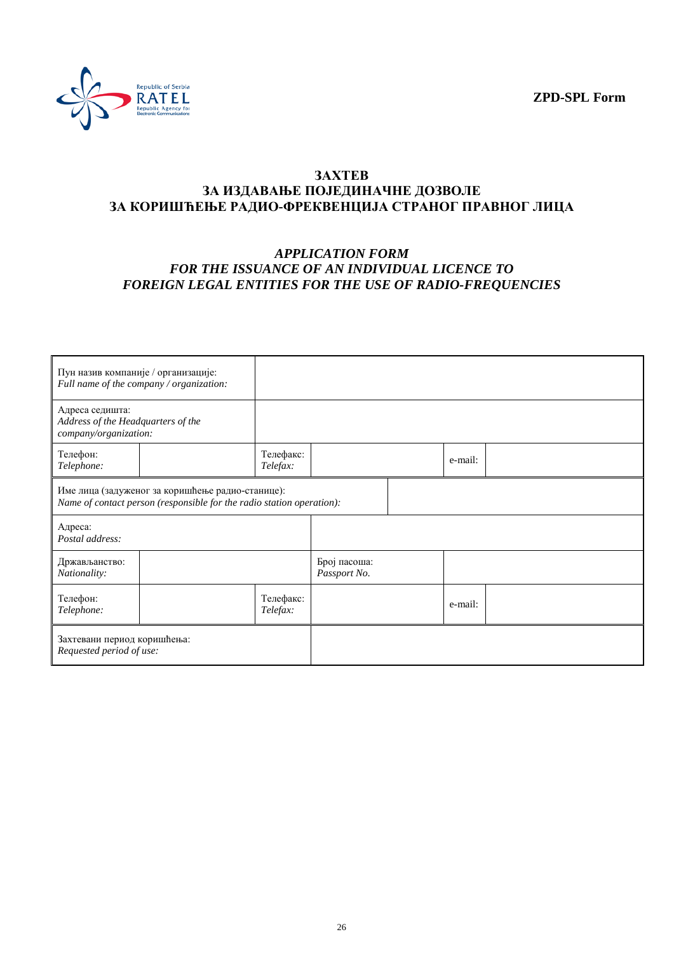**ZPD-SPL Form**



#### **ЗАХТЕВ ЗА ИЗДАВАЊЕ ПОЈЕДИНАЧНЕ ДОЗВОЛЕ ЗА КОРИШЋЕЊЕ РАДИО-ФРЕКВЕНЦИЈА СТРАНОГ ПРАВНОГ ЛИЦА**

#### *APPLICATION FORM FOR THE ISSUANCE OF AN INDIVIDUAL LICENCE TO FOREIGN LEGAL ENTITIES FOR THE USE OF RADIO-FREQUENCIES*

| Пун назив компаније / организације:                                                                                       | Full name of the company / organization: |                       |                              |         |  |
|---------------------------------------------------------------------------------------------------------------------------|------------------------------------------|-----------------------|------------------------------|---------|--|
| Адреса седишта:<br>Address of the Headquarters of the<br>company/organization:                                            |                                          |                       |                              |         |  |
| Телефон:<br>Telephone:                                                                                                    |                                          | Телефакс:<br>Telefax: |                              | e-mail: |  |
| Име лица (задуженог за коришћење радио-станице):<br>Name of contact person (responsible for the radio station operation): |                                          |                       |                              |         |  |
| Адреса:<br>Postal address:                                                                                                |                                          |                       |                              |         |  |
| Држављанство:<br>Nationality:                                                                                             |                                          |                       | Број пасоша:<br>Passport No. |         |  |
| Телефон:<br>Telephone:                                                                                                    |                                          | Телефакс:<br>Telefax: |                              | e-mail: |  |
| Захтевани период коришћења:<br>Requested period of use:                                                                   |                                          |                       |                              |         |  |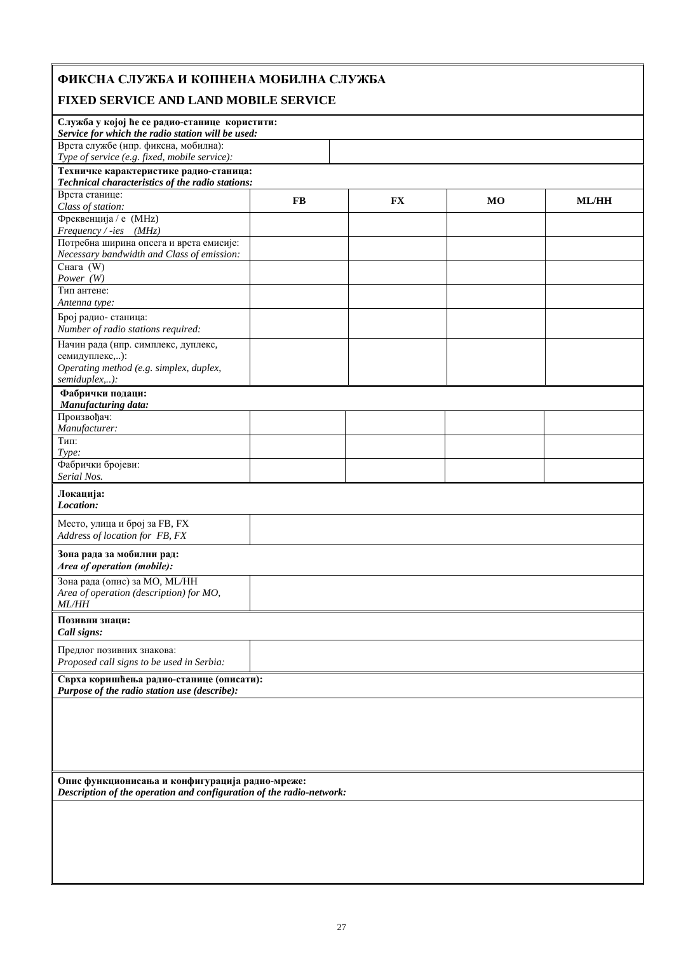# **ФИКСНА СЛУЖБА И КОПНЕНА МОБИЛНА СЛУЖБА**

## **FIXED SERVICE AND LAND MOBILE SERVICE**

| נעטנען שו                                                                                          |                                               |           |                |              |  |  |  |
|----------------------------------------------------------------------------------------------------|-----------------------------------------------|-----------|----------------|--------------|--|--|--|
| Служба у којој ће се радио-станице користити:<br>Service for which the radio station will be used: |                                               |           |                |              |  |  |  |
| Врста службе (нпр. фиксна, мобилна):                                                               |                                               |           |                |              |  |  |  |
| Техничке карактеристике радио-станица:                                                             | Type of service (e.g. fixed, mobile service): |           |                |              |  |  |  |
| Technical characteristics of the radio stations:                                                   |                                               |           |                |              |  |  |  |
| Врста станице:                                                                                     |                                               |           |                |              |  |  |  |
| Class of station:                                                                                  | <b>FB</b>                                     | <b>FX</b> | M <sub>O</sub> | <b>ML/HH</b> |  |  |  |
| Фреквенција / е (MHz)                                                                              |                                               |           |                |              |  |  |  |
| Frequency / -ies (MHz)                                                                             |                                               |           |                |              |  |  |  |
| Потребна ширина опсега и врста емисије:<br>Necessary bandwidth and Class of emission:              |                                               |           |                |              |  |  |  |
| Снага $(W)$                                                                                        |                                               |           |                |              |  |  |  |
| Power (W)                                                                                          |                                               |           |                |              |  |  |  |
| Тип антене:                                                                                        |                                               |           |                |              |  |  |  |
| Antenna type:                                                                                      |                                               |           |                |              |  |  |  |
| Број радио- станица:<br>Number of radio stations required:                                         |                                               |           |                |              |  |  |  |
| Начин рада (нпр. симплекс, дуплекс,                                                                |                                               |           |                |              |  |  |  |
| семидуплекс,):                                                                                     |                                               |           |                |              |  |  |  |
| Operating method (e.g. simplex, duplex,                                                            |                                               |           |                |              |  |  |  |
| semiduplex,):                                                                                      |                                               |           |                |              |  |  |  |
| Фабрички подаци:<br>Manufacturing data:                                                            |                                               |           |                |              |  |  |  |
| Произвођач:                                                                                        |                                               |           |                |              |  |  |  |
| Manufacturer:                                                                                      |                                               |           |                |              |  |  |  |
| Тип:                                                                                               |                                               |           |                |              |  |  |  |
| Type:                                                                                              |                                               |           |                |              |  |  |  |
| Фабрички бројеви:                                                                                  |                                               |           |                |              |  |  |  |
| Serial Nos.                                                                                        |                                               |           |                |              |  |  |  |
| Локација:<br>Location:                                                                             |                                               |           |                |              |  |  |  |
| Место, улица и број за FB, FX<br>Address of location for FB, FX                                    |                                               |           |                |              |  |  |  |
| Зона рада за мобилни рад:<br>Area of operation (mobile):                                           |                                               |           |                |              |  |  |  |
| Зона рада (опис) за МО, МL/НН<br>Area of operation (description) for MO,<br><b>ML/HH</b>           |                                               |           |                |              |  |  |  |
| Позивни знаци:                                                                                     |                                               |           |                |              |  |  |  |
| Call signs:                                                                                        |                                               |           |                |              |  |  |  |
| Предлог позивних знакова:<br>Proposed call signs to be used in Serbia:                             |                                               |           |                |              |  |  |  |
| Сврха коришћења радио-станице (описати):<br>Purpose of the radio station use (describe):           |                                               |           |                |              |  |  |  |
|                                                                                                    |                                               |           |                |              |  |  |  |
|                                                                                                    |                                               |           |                |              |  |  |  |
|                                                                                                    |                                               |           |                |              |  |  |  |
|                                                                                                    |                                               |           |                |              |  |  |  |
|                                                                                                    |                                               |           |                |              |  |  |  |
|                                                                                                    |                                               |           |                |              |  |  |  |
| Опис функционисања и конфигурација радио-мреже:                                                    |                                               |           |                |              |  |  |  |
| Description of the operation and configuration of the radio-network:                               |                                               |           |                |              |  |  |  |
|                                                                                                    |                                               |           |                |              |  |  |  |
|                                                                                                    |                                               |           |                |              |  |  |  |
|                                                                                                    |                                               |           |                |              |  |  |  |
|                                                                                                    |                                               |           |                |              |  |  |  |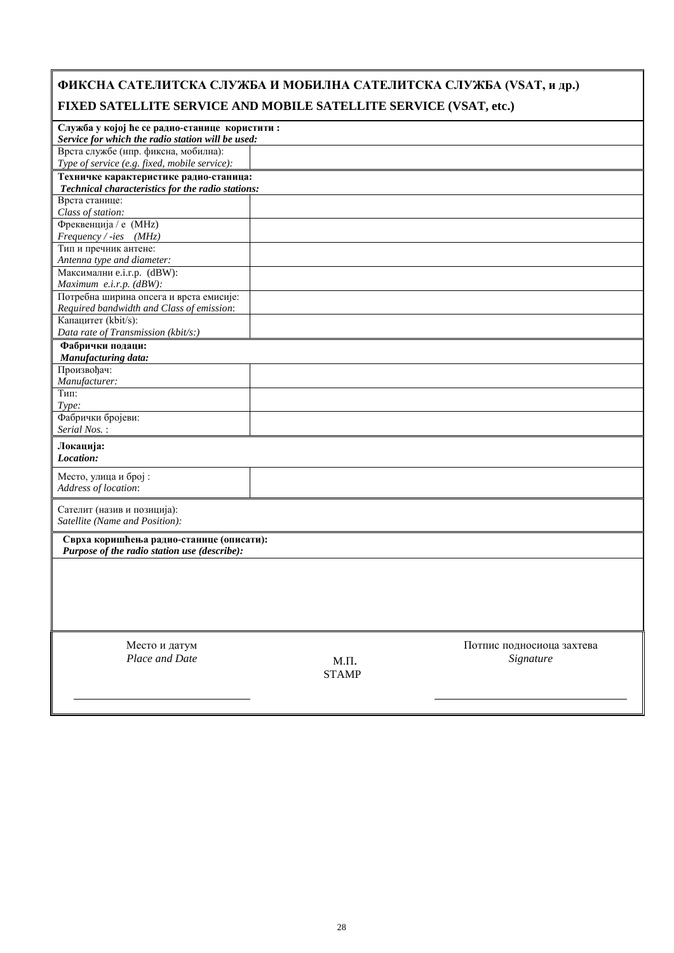| ФИКСНА САТЕЛИТСКА СЛУЖБА И МОБИЛНА САТЕЛИТСКА СЛУЖБА (VSAT, и др.)                                 |          |                           |
|----------------------------------------------------------------------------------------------------|----------|---------------------------|
| FIXED SATELLITE SERVICE AND MOBILE SATELLITE SERVICE (VSAT, etc.)                                  |          |                           |
| Служба у којој ће се радио-станице користити:<br>Service for which the radio station will be used: |          |                           |
| Врста службе (нпр. фиксна, мобилна):                                                               |          |                           |
| Type of service (e.g. fixed, mobile service):                                                      |          |                           |
| Техничке карактеристике радио-станица:                                                             |          |                           |
| Technical characteristics for the radio stations:                                                  |          |                           |
| Врста станице:                                                                                     |          |                           |
| Class of station:                                                                                  |          |                           |
| Фреквенција / е (MHz)                                                                              |          |                           |
| $Frequency / -ies$ (MHz)<br>Тип и пречник антене:                                                  |          |                           |
| Antenna type and diameter:                                                                         |          |                           |
| Максимални e.i.r.p. (dBW):                                                                         |          |                           |
| Maximum e.i.r.p. (dBW):                                                                            |          |                           |
| Потребна ширина опсега и врста емисије:                                                            |          |                           |
| Required bandwidth and Class of emission:                                                          |          |                           |
| Капацитет (kbit/s):                                                                                |          |                           |
| Data rate of Transmission (kbit/s:)                                                                |          |                           |
| Фабрички подаци:                                                                                   |          |                           |
| Manufacturing data:                                                                                |          |                           |
| Произвођач:                                                                                        |          |                           |
| Manufacturer:                                                                                      |          |                           |
| Тип:<br>Type:                                                                                      |          |                           |
| Фабрички бројеви:                                                                                  |          |                           |
| Serial Nos.:                                                                                       |          |                           |
| Локација:<br>Location:                                                                             |          |                           |
| Место, улица и број:<br>Address of location:                                                       |          |                           |
| Сателит (назив и позиција):<br>Satellite (Name and Position):                                      |          |                           |
| Сврха коришћења радио-станице (описати):<br>Purpose of the radio station use (describe):           |          |                           |
|                                                                                                    |          |                           |
|                                                                                                    |          |                           |
|                                                                                                    |          |                           |
| Место и датум                                                                                      |          | Потпис подносиоца захтева |
| Place and Date                                                                                     | $M.\Pi.$ | Signature                 |

 $\mathbf{r}$ 

 $\overline{\phantom{a}}$ 

STAMP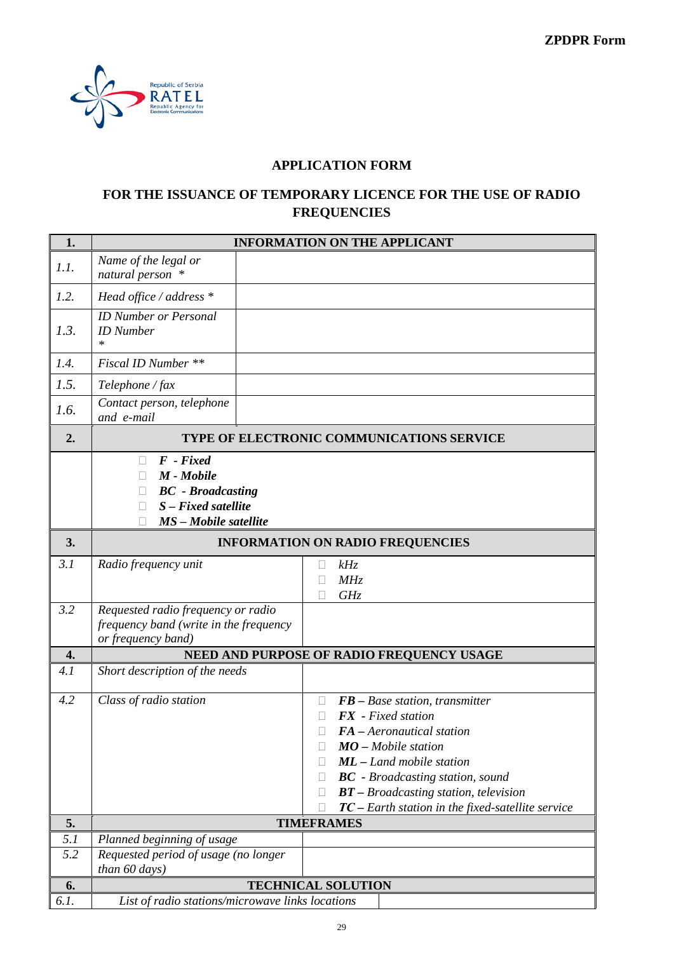

## **APPLICATION FORM**

## **FOR THE ISSUANCE OF TEMPORARY LICENCE FOR THE USE OF RADIO FREQUENCIES**

| 1.   |                                                                                                         | <b>INFORMATION ON THE APPLICANT</b>                                                                                                                                                                                                                                                                           |
|------|---------------------------------------------------------------------------------------------------------|---------------------------------------------------------------------------------------------------------------------------------------------------------------------------------------------------------------------------------------------------------------------------------------------------------------|
| 1.1. | Name of the legal or<br>natural person *                                                                |                                                                                                                                                                                                                                                                                                               |
| 1.2. | Head office / address $*$                                                                               |                                                                                                                                                                                                                                                                                                               |
| 1.3. | <b>ID Number or Personal</b><br><b>ID</b> Number<br>$\ast$                                              |                                                                                                                                                                                                                                                                                                               |
| 1.4. | Fiscal ID Number **                                                                                     |                                                                                                                                                                                                                                                                                                               |
| 1.5. | Telephone / fax                                                                                         |                                                                                                                                                                                                                                                                                                               |
| 1.6. | Contact person, telephone<br>and e-mail                                                                 |                                                                                                                                                                                                                                                                                                               |
| 2.   |                                                                                                         | TYPE OF ELECTRONIC COMMUNICATIONS SERVICE                                                                                                                                                                                                                                                                     |
|      | $F$ - Fixed<br>M - Mobile<br><b>BC</b> - Broadcasting<br>$S$ – Fixed satellite<br>MS - Mobile satellite |                                                                                                                                                                                                                                                                                                               |
| 3.   |                                                                                                         | <b>INFORMATION ON RADIO FREQUENCIES</b>                                                                                                                                                                                                                                                                       |
| 3.1  | Radio frequency unit                                                                                    | kHz<br>Ш<br>MHz<br>GHz                                                                                                                                                                                                                                                                                        |
| 3.2  | Requested radio frequency or radio<br>frequency band (write in the frequency<br>or frequency band)      |                                                                                                                                                                                                                                                                                                               |
| 4.   |                                                                                                         | NEED AND PURPOSE OF RADIO FREQUENCY USAGE                                                                                                                                                                                                                                                                     |
| 4.1  | Short description of the needs                                                                          |                                                                                                                                                                                                                                                                                                               |
| 4.2  | Class of radio station                                                                                  | $FB - Base station, transmitter$<br>П<br><b>FX</b> - Fixed station<br>FA - Aeronautical station<br>П<br>$MO$ – Mobile station<br><b>ML</b> - Land mobile station<br><b>BC</b> - Broadcasting station, sound<br>$BT - Broadcasting$ station, television<br>$TC$ – Earth station in the fixed-satellite service |
| 5.   |                                                                                                         | <b>TIMEFRAMES</b>                                                                                                                                                                                                                                                                                             |
| 5.1  | Planned beginning of usage                                                                              |                                                                                                                                                                                                                                                                                                               |
| 5.2  | Requested period of usage (no longer<br>than 60 days)                                                   |                                                                                                                                                                                                                                                                                                               |
| 6.   |                                                                                                         | <b>TECHNICAL SOLUTION</b>                                                                                                                                                                                                                                                                                     |
| 6.1. | List of radio stations/microwave links locations                                                        |                                                                                                                                                                                                                                                                                                               |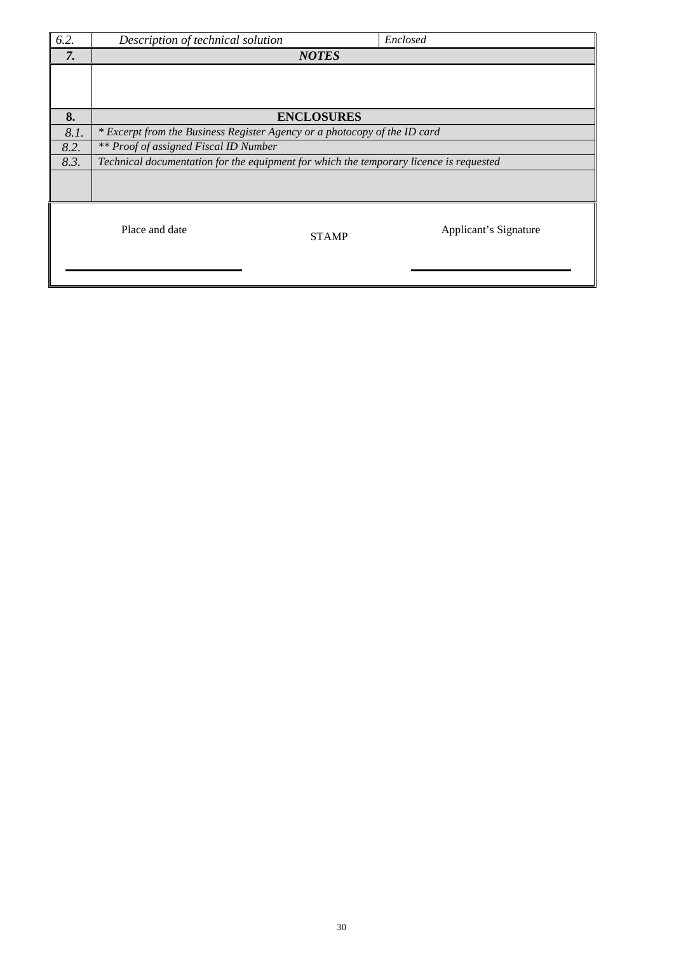| 6.2. | Description of technical solution                                                      |                   | Enclosed              |  |  |  |
|------|----------------------------------------------------------------------------------------|-------------------|-----------------------|--|--|--|
| 7.   |                                                                                        | <b>NOTES</b>      |                       |  |  |  |
|      |                                                                                        |                   |                       |  |  |  |
|      |                                                                                        |                   |                       |  |  |  |
| 8.   |                                                                                        | <b>ENCLOSURES</b> |                       |  |  |  |
| 8.1. | * Excerpt from the Business Register Agency or a photocopy of the ID card              |                   |                       |  |  |  |
| 8.2. | ** Proof of assigned Fiscal ID Number                                                  |                   |                       |  |  |  |
| 8.3. | Technical documentation for the equipment for which the temporary licence is requested |                   |                       |  |  |  |
|      |                                                                                        |                   |                       |  |  |  |
|      | Place and date                                                                         | <b>STAMP</b>      | Applicant's Signature |  |  |  |
|      |                                                                                        |                   |                       |  |  |  |